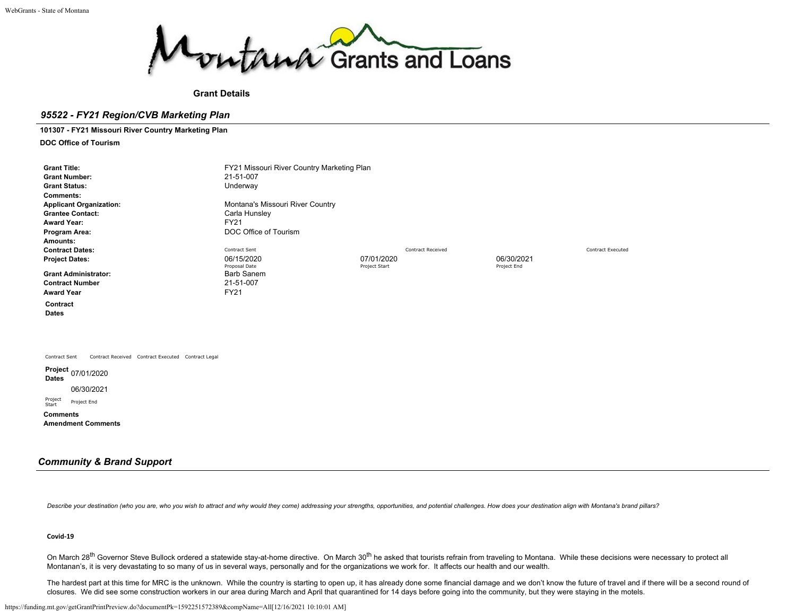

## **Grant Details**

# *95522 - FY21 Region/CVB Marketing Plan*

**101307 - FY21 Missouri River Country Marketing Plan**

**DOC Office of Tourism**

| <b>Grant Title:</b><br><b>Grant Number:</b><br><b>Grant Status:</b><br><b>Comments:</b><br><b>Applicant Organization:</b><br><b>Grantee Contact:</b><br><b>Award Year:</b><br>Program Area: | FY21 Missouri River Country Marketing Plan<br>21-51-007<br>Underway<br>Montana's Missouri River Country<br>Carla Hunsley<br><b>FY21</b><br>DOC Office of Tourism |                             |                          |                           |                          |
|---------------------------------------------------------------------------------------------------------------------------------------------------------------------------------------------|------------------------------------------------------------------------------------------------------------------------------------------------------------------|-----------------------------|--------------------------|---------------------------|--------------------------|
| Amounts:<br><b>Contract Dates:</b><br><b>Project Dates:</b><br><b>Grant Administrator:</b><br><b>Contract Number</b><br><b>Award Year</b>                                                   | Contract Sent<br>06/15/2020<br>Proposal Date<br>Barb Sanem<br>21-51-007<br><b>FY21</b>                                                                           | 07/01/2020<br>Project Start | <b>Contract Received</b> | 06/30/2021<br>Project End | <b>Contract Executed</b> |
| Contract<br><b>Dates</b>                                                                                                                                                                    |                                                                                                                                                                  |                             |                          |                           |                          |
| Contract Sent<br>Contract Received Contract Executed Contract Legal<br>Project 07/01/2020<br><b>Dates</b><br>06/30/2021<br>Project<br>Project End<br>Start<br>Commonte                      |                                                                                                                                                                  |                             |                          |                           |                          |

**Comments Amendment Comments**

# *Community & Brand Support*

Describe your destination (who you are, who you wish to attract and why would they come) addressing your strengths, opportunities, and potential challenges. How does your destination align with Montana's brand pillars?

### **Covid-19**

On March 28<sup>th</sup> Governor Steve Bullock ordered a statewide stay-at-home directive. On March 30<sup>th</sup> he asked that tourists refrain from traveling to Montana. While these decisions were necessary to protect all Montanan's, it is very devastating to so many of us in several ways, personally and for the organizations we work for. It affects our health and our wealth.

The hardest part at this time for MRC is the unknown. While the country is starting to open up, it has already done some financial damage and we don't know the future of travel and if there will be a second round of closures. We did see some construction workers in our area during March and April that quarantined for 14 days before going into the community, but they were staying in the motels.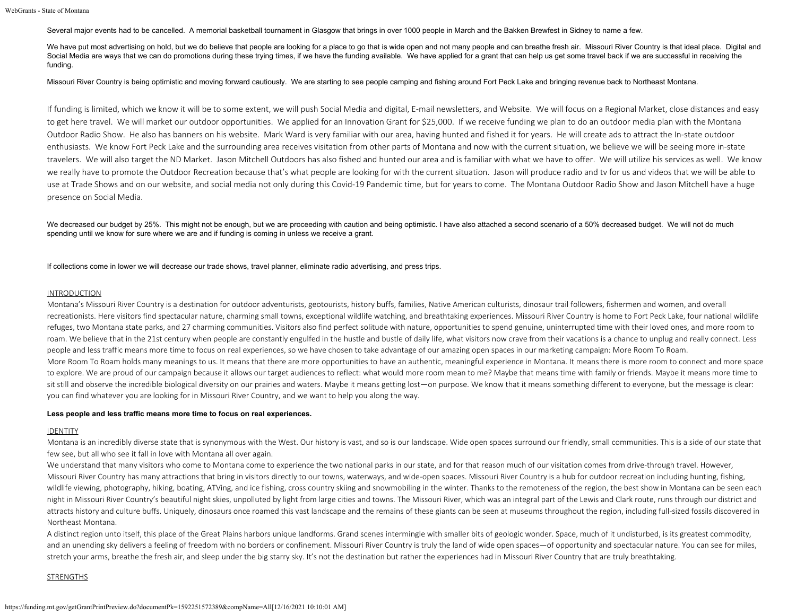Several major events had to be cancelled. A memorial basketball tournament in Glasgow that brings in over 1000 people in March and the Bakken Brewfest in Sidney to name a few.

We have put most advertising on hold, but we do believe that people are looking for a place to go that is wide open and not many people and can breathe fresh air. Missouri River Country is that ideal place. Digital and Social Media are ways that we can do promotions during these trying times, if we have the funding available. We have applied for a grant that can help us get some travel back if we are successful in receiving the funding.

#### Missouri River Country is being optimistic and moving forward cautiously. We are starting to see people camping and fishing around Fort Peck Lake and bringing revenue back to Northeast Montana.

If funding is limited, which we know it will be to some extent, we will push Social Media and digital, E-mail newsletters, and Website. We will focus on a Regional Market, close distances and easy to get here travel. We will market our outdoor opportunities. We applied for an Innovation Grant for \$25,000. If we receive funding we plan to do an outdoor media plan with the Montana Outdoor Radio Show. He also has banners on his website. Mark Ward is very familiar with our area, having hunted and fished it for years. He will create ads to attract the In-state outdoor enthusiasts. We know Fort Peck Lake and the surrounding area receives visitation from other parts of Montana and now with the current situation, we believe we will be seeing more in-state travelers. We will also target the ND Market. Jason Mitchell Outdoors has also fished and hunted our area and is familiar with what we have to offer. We will utilize his services as well. We know we really have to promote the Outdoor Recreation because that's what people are looking for with the current situation. Jason will produce radio and ty for us and videos that we will be able to use at Trade Shows and on our website, and social media not only during this Covid-19 Pandemic time, but for years to come. The Montana Outdoor Radio Show and Jason Mitchell have a huge presence on Social Media.

We decreased our budget by 25%. This might not be enough, but we are proceeding with caution and being optimistic. I have also attached a second scenario of a 50% decreased budget. We will not do much spending until we know for sure where we are and if funding is coming in unless we receive a grant.

If collections come in lower we will decrease our trade shows, travel planner, eliminate radio advertising, and press trips.

### INTRODUCTION

Montana's Missouri River Country is a destination for outdoor adventurists, geotourists, history buffs, families, Native American culturists, dinosaur trail followers, fishermen and women, and overall recreationists. Here visitors find spectacular nature, charming small towns, exceptional wildlife watching, and breathtaking experiences. Missouri River Country is home to Fort Peck Lake, four national wildlife refuges, two Montana state parks, and 27 charming communities. Visitors also find perfect solitude with nature, opportunities to spend genuine, uninterrupted time with their loved ones, and more room to roam. We believe that in the 21st century when people are constantly engulfed in the hustle and bustle of daily life, what visitors now crave from their vacations is a chance to unplug and really connect. Less people and less traffic means more time to focus on real experiences, so we have chosen to take advantage of our amazing open spaces in our marketing campaign: More Room To Roam. More Room To Roam holds many meanings to us. It means that there are more opportunities to have an authentic, meaningful experience in Montana. It means there is more room to connect and more space to explore. We are proud of our campaign because it allows our target audiences to reflect: what would more room mean to me? Maybe that means time with family or friends. Maybe it means more time to sit still and observe the incredible biological diversity on our prairies and waters. Maybe it means getting lost—on purpose. We know that it means something different to everyone, but the message is clear: you can find whatever you are looking for in Missouri River Country, and we want to help you along the way.

#### **Less people and less traffic means more time to focus on real experiences.**

#### **IDENTITY**

Montana is an incredibly diverse state that is synonymous with the West. Our history is vast, and so is our landscape. Wide open spaces surround our friendly, small communities. This is a side of our state that few see, but all who see it fall in love with Montana all over again.

We understand that many visitors who come to Montana come to experience the two national parks in our state, and for that reason much of our visitation comes from drive-through travel. However, Missouri River Country has many attractions that bring in visitors directly to our towns, waterways, and wide-open spaces. Missouri River Country is a hub for outdoor recreation including hunting, fishing, wildlife viewing, photography, hiking, boating, ATVing, and ice fishing, cross country skiing and snowmobiling in the winter. Thanks to the remoteness of the region, the best show in Montana can be seen each night in Missouri River Country's beautiful night skies, unpolluted by light from large cities and towns. The Missouri River, which was an integral part of the Lewis and Clark route, runs through our district and attracts history and culture buffs. Uniquely, dinosaurs once roamed this vast landscape and the remains of these giants can be seen at museums throughout the region, including full-sized fossils discovered in Northeast Montana.

A distinct region unto itself, this place of the Great Plains harbors unique landforms. Grand scenes intermingle with smaller bits of geologic wonder. Space, much of it undisturbed, is its greatest commodity, and an unending sky delivers a feeling of freedom with no borders or confinement. Missouri River Country is truly the land of wide open spaces—of opportunity and spectacular nature. You can see for miles, stretch your arms, breathe the fresh air, and sleep under the big starry sky. It's not the destination but rather the experiences had in Missouri River Country that are truly breathtaking.

### **STRENGTHS**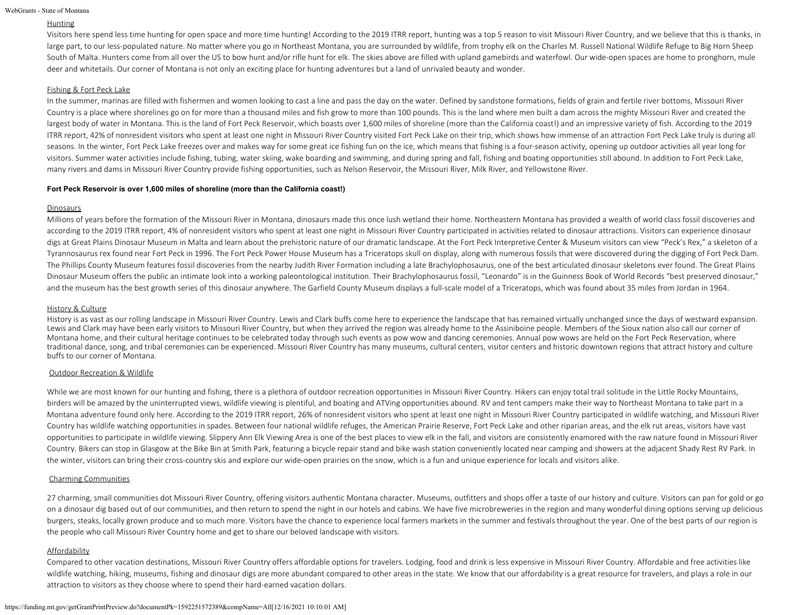```
WebGrants - State of Montana
```
# Hunting

Visitors here spend less time hunting for open space and more time hunting! According to the 2019 ITRR report, hunting was a top 5 reason to visit Missouri River Country, and we believe that this is thanks, in large part, to our less-populated nature. No matter where you go in Northeast Montana, you are surrounded by wildlife, from trophy elk on the Charles M. Russell National Wildlife Refuge to Big Horn Sheep South of Malta. Hunters come from all over the US to bow hunt and/or rifle hunt for elk. The skies above are filled with upland gamebirds and waterfowl. Our wide-open spaces are home to pronghorn, mule deer and whitetails. Our corner of Montana is not only an exciting place for hunting adventures but a land of unrivaled beauty and wonder.

### Fishing & Fort Peck Lake

In the summer, marinas are filled with fishermen and women looking to cast a line and pass the day on the water. Defined by sandstone formations, fields of grain and fertile river bottoms, Missouri River Country is a place where shorelines go on for more than a thousand miles and fish grow to more than 100 pounds. This is the land where men built a dam across the mighty Missouri River and created the largest body of water in Montana. This is the land of Fort Peck Reservoir, which boasts over 1,600 miles of shoreline (more than the California coast!) and an impressive variety of fish. According to the 2019 ITRR report, 42% of nonresident visitors who spent at least one night in Missouri River Country visited Fort Peck Lake on their trip, which shows how immense of an attraction Fort Peck Lake truly is during all seasons. In the winter, Fort Peck Lake freezes over and makes way for some great ice fishing fun on the ice, which means that fishing is a four-season activity, opening up outdoor activities all year long for visitors. Summer water activities include fishing, tubing, water skiing, wake boarding and swimming, and during spring and fall, fishing and boating opportunities still abound. In addition to Fort Peck Lake, many rivers and dams in Missouri River Country provide fishing opportunities, such as Nelson Reservoir, the Missouri River, Milk River, and Yellowstone River.

### **Fort Peck Reservoir is over 1,600 miles of shoreline (more than the California coast!)**

### **Dinosaurs**

Millions of years before the formation of the Missouri River in Montana, dinosaurs made this once lush wetland their home. Northeastern Montana has provided a wealth of world class fossil discoveries and according to the 2019 ITRR report, 4% of nonresident visitors who spent at least one night in Missouri River Country participated in activities related to dinosaur attractions. Visitors can experience dinosaur digs at Great Plains Dinosaur Museum in Malta and learn about the prehistoric nature of our dramatic landscape. At the Fort Peck Interpretive Center & Museum visitors can view "Peck's Rex," a skeleton of a Tyrannosaurus rex found near Fort Peck in 1996. The Fort Peck Power House Museum has a Triceratops skull on display, along with numerous fossils that were discovered during the digging of Fort Peck Dam. The Phillips County Museum features fossil discoveries from the nearby Judith River Formation including a late Brachylophosaurus, one of the best articulated dinosaur skeletons ever found. The Great Plains Dinosaur Museum offers the public an intimate look into a working paleontological institution. Their Brachylophosaurus fossil, "Leonardo" is in the Guinness Book of World Records "best preserved dinosaur," and the museum has the best growth series of this dinosaur anywhere. The Garfield County Museum displays a full-scale model of a Triceratops, which was found about 35 miles from Jordan in 1964.

### History & Culture

History is as vast as our rolling landscape in Missouri River Country. Lewis and Clark buffs come here to experience the landscape that has remained virtually unchanged since the days of westward expansion. Lewis and Clark may have been early visitors to Missouri River Country, but when they arrived the region was already home to the Assiniboine people. Members of the Sioux nation also call our corner of Montana home, and their cultural heritage continues to be celebrated today through such events as pow wow and dancing ceremonies. Annual pow wows are held on the Fort Peck Reservation, where traditional dance, song, and tribal ceremonies can be experienced. Missouri River Country has many museums, cultural centers, visitor centers and historic downtown regions that attract history and culture buffs to our corner of Montana.

### Outdoor Recreation & Wildlife

While we are most known for our hunting and fishing, there is a plethora of outdoor recreation opportunities in Missouri River Country. Hikers can enjoy total trail solitude in the Little Rocky Mountains, birders will be amazed by the uninterrupted views, wildlife viewing is plentiful, and boating and ATVing opportunities abound. RV and tent campers make their way to Northeast Montana to take part in a Montana adventure found only here. According to the 2019 ITRR report, 26% of nonresident visitors who spent at least one night in Missouri River Country participated in wildlife watching, and Missouri River Country has wildlife watching opportunities in spades. Between four national wildlife refuges, the American Prairie Reserve, Fort Peck Lake and other riparian areas, and the elk rut areas, visitors have vast opportunities to participate in wildlife viewing. Slippery Ann Elk Viewing Area is one of the best places to view elk in the fall, and visitors are consistently enamored with the raw nature found in Missouri River Country. Bikers can stop in Glasgow at the Bike Bin at Smith Park, featuring a bicycle repair stand and bike wash station conveniently located near camping and showers at the adjacent Shady Rest RV Park. In the winter, visitors can bring their cross-country skis and explore our wide-open prairies on the snow, which is a fun and unique experience for locals and visitors alike.

### Charming Communities

27 charming, small communities dot Missouri River Country, offering visitors authentic Montana character. Museums, outfitters and shops offer a taste of our history and culture. Visitors can pan for gold or go on a dinosaur dig based out of our communities, and then return to spend the night in our hotels and cabins. We have five microbreweries in the region and many wonderful dining options serving up delicious burgers, steaks, locally grown produce and so much more. Visitors have the chance to experience local farmers markets in the summer and festivals throughout the year. One of the best parts of our region is the people who call Missouri River Country home and get to share our beloved landscape with visitors.

### Affordability

Compared to other vacation destinations, Missouri River Country offers affordable options for travelers. Lodging, food and drink is less expensive in Missouri River Country. Affordable and free activities like wildlife watching, hiking, museums, fishing and dinosaur digs are more abundant compared to other areas in the state. We know that our affordability is a great resource for travelers, and plays a role in our attraction to visitors as they choose where to spend their hard-earned vacation dollars.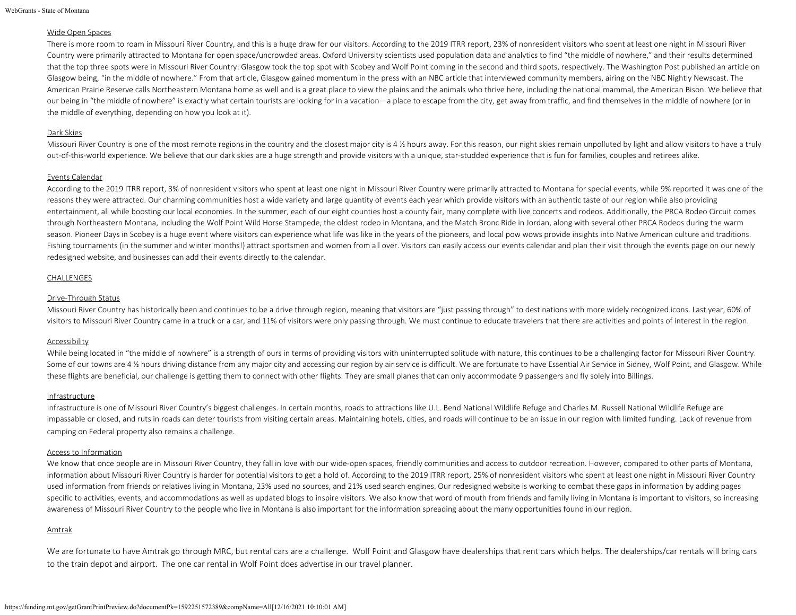```
WebGrants - State of Montana
```
### Wide Open Spaces

There is more room to roam in Missouri River Country, and this is a huge draw for our visitors. According to the 2019 ITRR report, 23% of nonresident visitors who spent at least one night in Missouri River Country were primarily attracted to Montana for open space/uncrowded areas. Oxford University scientists used population data and analytics to find "the middle of nowhere," and their results determined that the top three spots were in Missouri River Country: Glasgow took the top spot with Scobey and Wolf Point coming in the second and third spots, respectively. The Washington Post published an article on Glasgow being, "in the middle of nowhere." From that article, Glasgow gained momentum in the press with an NBC article that interviewed community members, airing on the NBC Nightly Newscast. The American Prairie Reserve calls Northeastern Montana home as well and is a great place to view the plains and the animals who thrive here, including the national mammal, the American Bison. We believe that our being in "the middle of nowhere" is exactly what certain tourists are looking for in a vacation—a place to escape from the city, get away from traffic, and find themselves in the middle of nowhere (or in the middle of everything, depending on how you look at it).

### Dark Skies

Missouri River Country is one of the most remote regions in the country and the closest major city is 4 % hours away. For this reason, our night skies remain unpolluted by light and allow visitors to have a truly out-of-this-world experience. We believe that our dark skies are a huge strength and provide visitors with a unique, star-studded experience that is fun for families, couples and retirees alike.

# Events Calendar

According to the 2019 ITRR report, 3% of nonresident visitors who spent at least one night in Missouri River Country were primarily attracted to Montana for special events, while 9% reported it was one of the reasons they were attracted. Our charming communities host a wide variety and large quantity of events each year which provide visitors with an authentic taste of our region while also providing entertainment, all while boosting our local economies. In the summer, each of our eight counties host a county fair, many complete with live concerts and rodeos. Additionally, the PRCA Rodeo Circuit comes through Northeastern Montana, including the Wolf Point Wild Horse Stampede, the oldest rodeo in Montana, and the Match Bronc Ride in Jordan, along with several other PRCA Rodeos during the warm season. Pioneer Days in Scobey is a huge event where visitors can experience what life was like in the years of the pioneers, and local pow wows provide insights into Native American culture and traditions. Fishing tournaments (in the summer and winter months!) attract sportsmen and women from all over. Visitors can easily access our events calendar and plan their visit through the events page on our newly redesigned website, and businesses can add their events directly to the calendar.

### CHALLENGES

### Drive-Through Status

Missouri River Country has historically been and continues to be a drive through region, meaning that visitors are "just passing through" to destinations with more widely recognized icons. Last year, 60% of visitors to Missouri River Country came in a truck or a car, and 11% of visitors were only passing through. We must continue to educate travelers that there are activities and points of interest in the region.

### Accessibility

While being located in "the middle of nowhere" is a strength of ours in terms of providing visitors with uninterrupted solitude with nature, this continues to be a challenging factor for Missouri River Country. Some of our towns are 4 % hours driving distance from any major city and accessing our region by air service is difficult. We are fortunate to have Essential Air Service in Sidney, Wolf Point, and Glasgow. While these flights are beneficial, our challenge is getting them to connect with other flights. They are small planes that can only accommodate 9 passengers and fly solely into Billings.

# **Infrastructure**

Infrastructure is one of Missouri River Country's biggest challenges. In certain months, roads to attractions like U.L. Bend National Wildlife Refuge and Charles M. Russell National Wildlife Refuge are impassable or closed, and ruts in roads can deter tourists from visiting certain areas. Maintaining hotels, cities, and roads will continue to be an issue in our region with limited funding. Lack of revenue from camping on Federal property also remains a challenge.

## Access to Information

We know that once people are in Missouri River Country, they fall in love with our wide-open spaces, friendly communities and access to outdoor recreation. However, compared to other parts of Montana, information about Missouri River Country is harder for potential visitors to get a hold of. According to the 2019 ITRR report, 25% of nonresident visitors who spent at least one night in Missouri River Country used information from friends or relatives living in Montana, 23% used no sources, and 21% used search engines. Our redesigned website is working to combat these gaps in information by adding pages specific to activities, events, and accommodations as well as updated blogs to inspire visitors. We also know that word of mouth from friends and family living in Montana is important to visitors, so increasing awareness of Missouri River Country to the people who live in Montana is also important for the information spreading about the many opportunities found in our region.

### Amtrak

We are fortunate to have Amtrak go through MRC, but rental cars are a challenge. Wolf Point and Glasgow have dealerships that rent cars which helps. The dealerships/car rentals will bring cars to the train depot and airport. The one car rental in Wolf Point does advertise in our travel planner.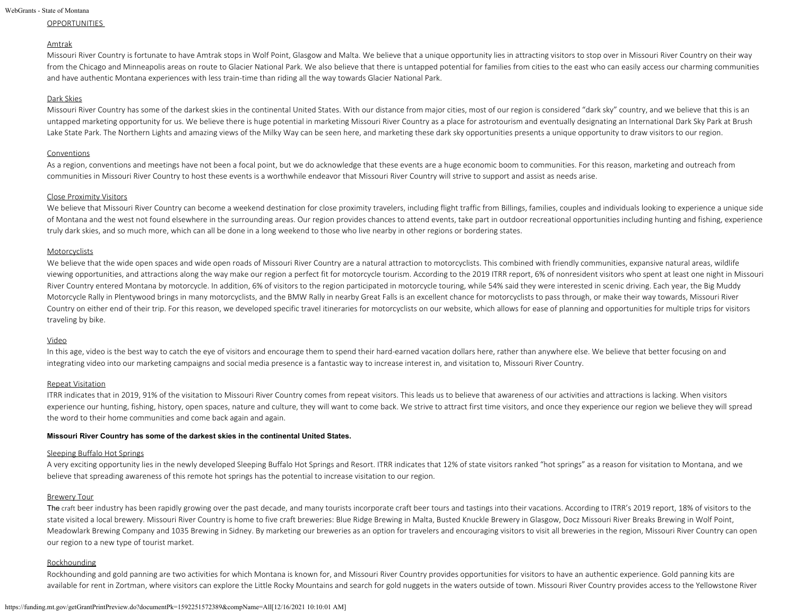```
WebGrants - State of Montana
```
### **OPPORTUNITIES**

### Amtrak

Missouri River Country is fortunate to have Amtrak stops in Wolf Point, Glasgow and Malta. We believe that a unique opportunity lies in attracting visitors to stop over in Missouri River Country on their way from the Chicago and Minneapolis areas on route to Glacier National Park. We also believe that there is untapped potential for families from cities to the east who can easily access our charming communities and have authentic Montana experiences with less train-time than riding all the way towards Glacier National Park.

### Dark Skies

Missouri River Country has some of the darkest skies in the continental United States. With our distance from major cities, most of our region is considered "dark sky" country, and we believe that this is an untapped marketing opportunity for us. We believe there is huge potential in marketing Missouri River Country as a place for astrotourism and eventually designating an International Dark Sky Park at Brush Lake State Park. The Northern Lights and amazing views of the Milky Way can be seen here, and marketing these dark sky opportunities presents a unique opportunity to draw visitors to our region.

### Conventions

As a region, conventions and meetings have not been a focal point, but we do acknowledge that these events are a huge economic boom to communities. For this reason, marketing and outreach from communities in Missouri River Country to host these events is a worthwhile endeavor that Missouri River Country will strive to support and assist as needs arise.

### Close Proximity Visitors

We believe that Missouri River Country can become a weekend destination for close proximity travelers, including flight traffic from Billings, families, couples and individuals looking to experience a unique side of Montana and the west not found elsewhere in the surrounding areas. Our region provides chances to attend events, take part in outdoor recreational opportunities including hunting and fishing, experience truly dark skies, and so much more, which can all be done in a long weekend to those who live nearby in other regions or bordering states.

## **Motorcyclists**

We believe that the wide open spaces and wide open roads of Missouri River Country are a natural attraction to motorcyclists. This combined with friendly communities, expansive natural areas, wildlife viewing opportunities, and attractions along the way make our region a perfect fit for motorcycle tourism. According to the 2019 ITRR report, 6% of nonresident visitors who spent at least one night in Missouri River Country entered Montana by motorcycle. In addition, 6% of visitors to the region participated in motorcycle touring, while 54% said they were interested in scenic driving. Each year, the Big Muddy Motorcycle Rally in Plentywood brings in many motorcyclists, and the BMW Rally in nearby Great Falls is an excellent chance for motorcyclists to pass through, or make their way towards, Missouri River Country on either end of their trip. For this reason, we developed specific travel itineraries for motorcyclists on our website, which allows for ease of planning and opportunities for multiple trips for visitors traveling by bike.

### Video

In this age, video is the best way to catch the eye of visitors and encourage them to spend their hard-earned vacation dollars here, rather than anywhere else. We believe that better focusing on and integrating video into our marketing campaigns and social media presence is a fantastic way to increase interest in, and visitation to, Missouri River Country.

## Repeat Visitation

ITRR indicates that in 2019, 91% of the visitation to Missouri River Country comes from repeat visitors. This leads us to believe that awareness of our activities and attractions is lacking. When visitors experience our hunting, fishing, history, open spaces, nature and culture, they will want to come back. We strive to attract first time visitors, and once they experience our region we believe they will spread the word to their home communities and come back again and again.

### **Missouri River Country has some of the darkest skies in the continental United States.**

# Sleeping Buffalo Hot Springs

A very exciting opportunity lies in the newly developed Sleeping Buffalo Hot Springs and Resort. ITRR indicates that 12% of state visitors ranked "hot springs" as a reason for visitation to Montana, and we believe that spreading awareness of this remote hot springs has the potential to increase visitation to our region.

# Brewery Tour

The craft beer industry has been rapidly growing over the past decade, and many tourists incorporate craft beer tours and tastings into their vacations. According to ITRR's 2019 report, 18% of visitors to the state visited a local brewery. Missouri River Country is home to five craft breweries: Blue Ridge Brewing in Malta, Busted Knuckle Brewery in Glasgow, Docz Missouri River Breaks Brewing in Wolf Point, Meadowlark Brewing Company and 1035 Brewing in Sidney. By marketing our breweries as an option for travelers and encouraging visitors to visit all breweries in the region, Missouri River Country can open our region to a new type of tourist market.

### **Rockhounding**

Rockhounding and gold panning are two activities for which Montana is known for, and Missouri River Country provides opportunities for visitors to have an authentic experience. Gold panning kits are available for rent in Zortman, where visitors can explore the Little Rocky Mountains and search for gold nuggets in the waters outside of town. Missouri River Country provides access to the Yellowstone River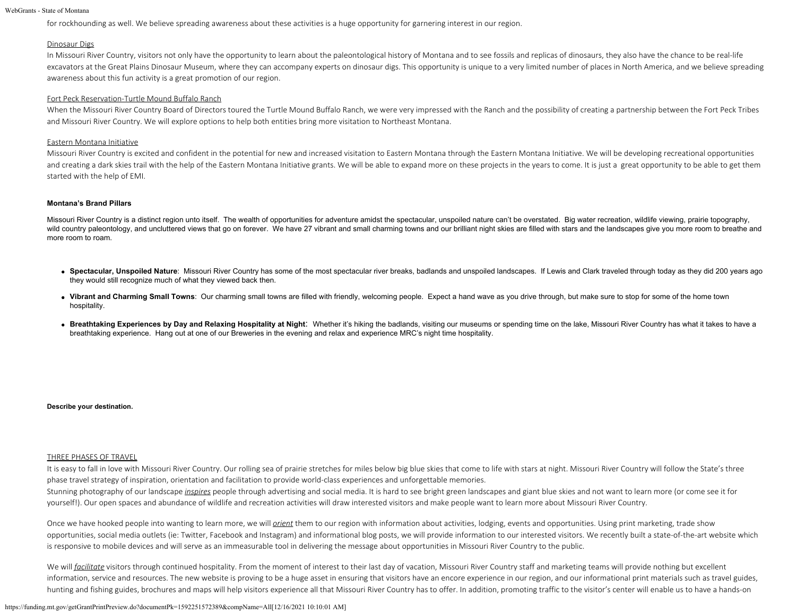for rockhounding as well. We believe spreading awareness about these activities is a huge opportunity for garnering interest in our region.

### Dinosaur Digs

In Missouri River Country, visitors not only have the opportunity to learn about the paleontological history of Montana and to see fossils and replicas of dinosaurs, they also have the chance to be real-life excavators at the Great Plains Dinosaur Museum, where they can accompany experts on dinosaur digs. This opportunity is unique to a very limited number of places in North America, and we believe spreading awareness about this fun activity is a great promotion of our region.

### Fort Peck Reservation-Turtle Mound Buffalo Ranch

When the Missouri River Country Board of Directors toured the Turtle Mound Buffalo Ranch, we were very impressed with the Ranch and the possibility of creating a partnership between the Fort Peck Tribes and Missouri River Country. We will explore options to help both entities bring more visitation to Northeast Montana.

### Eastern Montana Initiative

Missouri River Country is excited and confident in the potential for new and increased visitation to Eastern Montana through the Eastern Montana Initiative. We will be developing recreational opportunities and creating a dark skies trail with the help of the Eastern Montana Initiative grants. We will be able to expand more on these projects in the years to come. It is just a great opportunity to be able to get them started with the help of EMI.

#### **Montana's Brand Pillars**

Missouri River Country is a distinct region unto itself. The wealth of opportunities for adventure amidst the spectacular, unspoiled nature can't be overstated. Big water recreation, wildlife viewing, prairie topography, wild country paleontology, and uncluttered views that go on forever. We have 27 vibrant and small charming towns and our brilliant night skies are filled with stars and the landscapes give you more room to breathe and more room to roam.

- Spectacular, Unspoiled Nature: Missouri River Country has some of the most spectacular river breaks, badlands and unspoiled landscapes. If Lewis and Clark traveled through today as they did 200 years ago they would still recognize much of what they viewed back then.
- Vibrant and Charming Small Towns: Our charming small towns are filled with friendly, welcoming people. Expect a hand wave as you drive through, but make sure to stop for some of the home town hospitality.
- Breathtaking Experiences by Day and Relaxing Hospitality at Night: Whether it's hiking the badlands, visiting our museums or spending time on the lake, Missouri River Country has what it takes to have a breathtaking experience. Hang out at one of our Breweries in the evening and relax and experience MRC's night time hospitality.

#### **Describe your destination.**

#### THREE PHASES OF TRAVEL

It is easy to fall in love with Missouri River Country. Our rolling sea of prairie stretches for miles below big blue skies that come to life with stars at night. Missouri River Country will follow the State's three phase travel strategy of inspiration, orientation and facilitation to provide world-class experiences and unforgettable memories.

Stunning photography of our landscape *inspires* people through advertising and social media. It is hard to see bright green landscapes and giant blue skies and not want to learn more (or come see it for yourself!). Our open spaces and abundance of wildlife and recreation activities will draw interested visitors and make people want to learn more about Missouri River Country.

Once we have hooked people into wanting to learn more, we will *grient* them to our region with information about activities, lodging, events and opportunities. Using print marketing, trade show opportunities, social media outlets (ie: Twitter, Facebook and Instagram) and informational blog posts, we will provide information to our interested visitors. We recently built a state-of-the-art website which is responsive to mobile devices and will serve as an immeasurable tool in delivering the message about opportunities in Missouri River Country to the public.

We will *facilitate* visitors through continued hospitality. From the moment of interest to their last day of vacation, Missouri River Country staff and marketing teams will provide nothing but excellent information, service and resources. The new website is proving to be a huge asset in ensuring that visitors have an encore experience in our region, and our informational print materials such as travel guides, hunting and fishing guides, brochures and maps will help visitors experience all that Missouri River Country has to offer. In addition, promoting traffic to the visitor's center will enable us to have a hands-on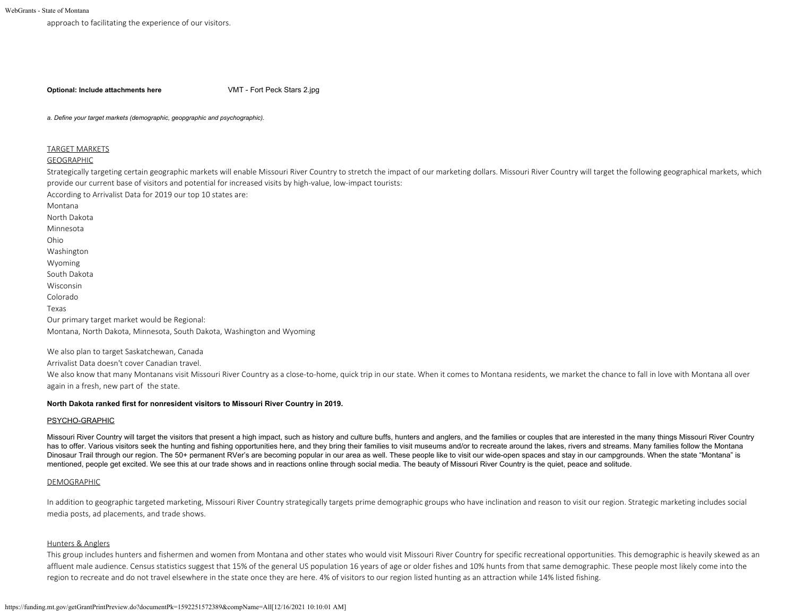approach to facilitating the experience of our visitors.

**Optional: Include attachments here** [VMT - Fort Peck Stars 2.jpg](https://funding.mt.gov/fileDownload.jsp?filename=1586818833561_VMT+-+Fort+Peck+Stars+2.jpg)

*a. Define your target markets (demographic, geopgraphic and psychographic).*

#### TARGET MARKETS

### GEOGRAPHIC

Strategically targeting certain geographic markets will enable Missouri River Country to stretch the impact of our marketing dollars. Missouri River Country will target the following geographical markets, which provide our current base of visitors and potential for increased visits by high-value, low-impact tourists:

According to Arrivalist Data for 2019 our top 10 states are:

Montana

North Dakota

Minnesota

Ohio

Washington

Wyoming

South Dakota

Wisconsin

Colorado

Texas

Our primary target market would be Regional:

Montana, North Dakota, Minnesota, South Dakota, Washington and Wyoming

We also plan to target Saskatchewan, Canada

Arrivalist Data doesn't cover Canadian travel.

We also know that many Montanans visit Missouri River Country as a close-to-home, quick trip in our state. When it comes to Montana residents, we market the chance to fall in love with Montana all over again in a fresh, new part of the state.

### **North Dakota ranked first for nonresident visitors to Missouri River Country in 2019.**

### PSYCHO-GRAPHIC

Missouri River Country will target the visitors that present a high impact, such as history and culture buffs, hunters and anglers, and the families or couples that are interested in the many things Missouri River Country has to offer. Various visitors seek the hunting and fishing opportunities here, and they bring their families to visit museums and/or to recreate around the lakes, rivers and streams. Many families follow the Montana Dinosaur Trail through our region. The 50+ permanent RVer's are becoming popular in our area as well. These people like to visit our wide-open spaces and stay in our campgrounds. When the state "Montana" is mentioned, people get excited. We see this at our trade shows and in reactions online through social media. The beauty of Missouri River Country is the quiet, peace and solitude.

### DEMOGRAPHIC

In addition to geographic targeted marketing, Missouri River Country strategically targets prime demographic groups who have inclination and reason to visit our region. Strategic marketing includes social media posts, ad placements, and trade shows.

# Hunters & Anglers

This group includes hunters and fishermen and women from Montana and other states who would visit Missouri River Country for specific recreational opportunities. This demographic is heavily skewed as an affluent male audience. Census statistics suggest that 15% of the general US population 16 years of age or older fishes and 10% hunts from that same demographic. These people most likely come into the region to recreate and do not travel elsewhere in the state once they are here. 4% of visitors to our region listed hunting as an attraction while 14% listed fishing.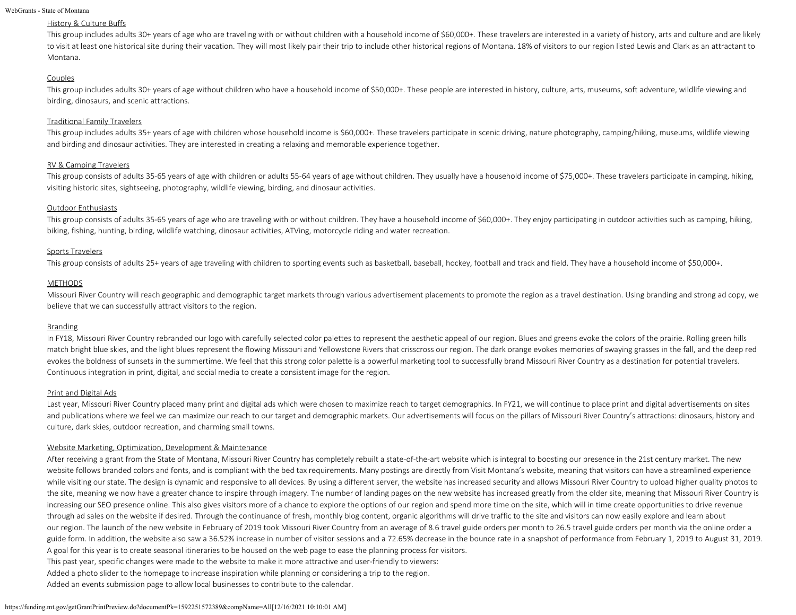### History & Culture Buffs

This group includes adults 30+ years of age who are traveling with or without children with a household income of \$60,000+. These travelers are interested in a variety of history, arts and culture and are likely to visit at least one historical site during their vacation. They will most likely pair their trip to include other historical regions of Montana. 18% of visitors to our region listed Lewis and Clark as an attractant to Montana.

### Couples

This group includes adults 30+ years of age without children who have a household income of \$50,000+. These people are interested in history, culture, arts, museums, soft adventure, wildlife viewing and birding, dinosaurs, and scenic attractions.

## Traditional Family Travelers

This group includes adults 35+ years of age with children whose household income is \$60,000+. These travelers participate in scenic driving, nature photography, camping/hiking, museums, wildlife viewing and birding and dinosaur activities. They are interested in creating a relaxing and memorable experience together.

### RV & Camping Travelers

This group consists of adults 35-65 years of age with children or adults 55-64 years of age without children. They usually have a household income of \$75,000+. These travelers participate in camping, hiking, visiting historic sites, sightseeing, photography, wildlife viewing, birding, and dinosaur activities.

### Outdoor Enthusiasts

This group consists of adults 35-65 years of age who are traveling with or without children. They have a household income of \$60,000+. They enjoy participating in outdoor activities such as camping, hiking, biking, fishing, hunting, birding, wildlife watching, dinosaur activities, ATVing, motorcycle riding and water recreation.

### Sports Travelers

This group consists of adults 25+ years of age traveling with children to sporting events such as basketball, baseball, hockey, football and track and field. They have a household income of \$50,000+.

### **METHODS**

Missouri River Country will reach geographic and demographic target markets through various advertisement placements to promote the region as a travel destination. Using branding and strong ad copy, we believe that we can successfully attract visitors to the region.

### Branding

In FY18, Missouri River Country rebranded our logo with carefully selected color palettes to represent the aesthetic appeal of our region. Blues and greens evoke the colors of the prairie. Rolling green hills match bright blue skies, and the light blues represent the flowing Missouri and Yellowstone Rivers that crisscross our region. The dark orange evokes memories of swaying grasses in the fall, and the deep red evokes the boldness of sunsets in the summertime. We feel that this strong color palette is a powerful marketing tool to successfully brand Missouri River Country as a destination for potential travelers. Continuous integration in print, digital, and social media to create a consistent image for the region.

### Print and Digital Ads

Last year, Missouri River Country placed many print and digital ads which were chosen to maximize reach to target demographics. In FY21, we will continue to place print and digital advertisements on sites and publications where we feel we can maximize our reach to our target and demographic markets. Our advertisements will focus on the pillars of Missouri River Country's attractions: dinosaurs, history and culture, dark skies, outdoor recreation, and charming small towns.

### Website Marketing, Optimization, Development & Maintenance

After receiving a grant from the State of Montana, Missouri River Country has completely rebuilt a state-of-the-art website which is integral to boosting our presence in the 21st century market. The new website follows branded colors and fonts, and is compliant with the bed tax requirements. Many postings are directly from Visit Montana's website, meaning that visitors can have a streamlined experience while visiting our state. The design is dynamic and responsive to all devices. By using a different server, the website has increased security and allows Missouri River Country to upload higher quality photos to the site, meaning we now have a greater chance to inspire through imagery. The number of landing pages on the new website has increased greatly from the older site, meaning that Missouri River Country is increasing our SEO presence online. This also gives visitors more of a chance to explore the options of our region and spend more time on the site, which will in time create opportunities to drive revenue through ad sales on the website if desired. Through the continuance of fresh, monthly blog content, organic algorithms will drive traffic to the site and visitors can now easily explore and learn about our region. The launch of the new website in February of 2019 took Missouri River Country from an average of 8.6 travel guide orders per month to 26.5 travel guide orders per month via the online order a guide form. In addition, the website also saw a 36.52% increase in number of visitor sessions and a 72.65% decrease in the bounce rate in a snapshot of performance from February 1, 2019 to August 31, 2019. A goal for this year is to create seasonal itineraries to be housed on the web page to ease the planning process for visitors.

This past year, specific changes were made to the website to make it more attractive and user-friendly to viewers:

Added a photo slider to the homepage to increase inspiration while planning or considering a trip to the region.

Added an events submission page to allow local businesses to contribute to the calendar.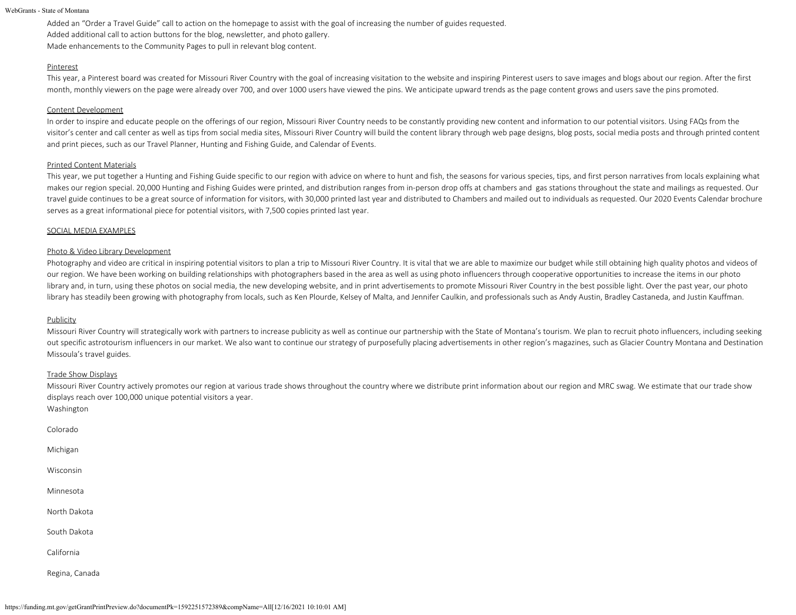Added an "Order a Travel Guide" call to action on the homepage to assist with the goal of increasing the number of guides requested. Added additional call to action buttons for the blog, newsletter, and photo gallery. Made enhancements to the Community Pages to pull in relevant blog content.

### Pinterest

This year, a Pinterest board was created for Missouri River Country with the goal of increasing visitation to the website and inspiring Pinterest users to save images and blogs about our region. After the first month, monthly viewers on the page were already over 700, and over 1000 users have viewed the pins. We anticipate upward trends as the page content grows and users save the pins promoted.

### Content Development

In order to inspire and educate people on the offerings of our region, Missouri River Country needs to be constantly providing new content and information to our potential visitors. Using FAQs from the visitor's center and call center as well as tips from social media sites, Missouri River Country will build the content library through web page designs, blog posts, social media posts and through printed content and print pieces, such as our Travel Planner, Hunting and Fishing Guide, and Calendar of Events.

### Printed Content Materials

This year, we put together a Hunting and Fishing Guide specific to our region with advice on where to hunt and fish, the seasons for various species, tips, and first person narratives from locals explaining what makes our region special. 20,000 Hunting and Fishing Guides were printed, and distribution ranges from in-person drop offs at chambers and gas stations throughout the state and mailings as requested. Our travel guide continues to be a great source of information for visitors, with 30,000 printed last year and distributed to Chambers and mailed out to individuals as requested. Our 2020 Events Calendar brochure serves as a great informational piece for potential visitors, with 7,500 copies printed last year.

### SOCIAL MEDIA EXAMPLES

### Photo & Video Library Development

Photography and video are critical in inspiring potential visitors to plan a trip to Missouri River Country. It is vital that we are able to maximize our budget while still obtaining high quality photos and videos of our region. We have been working on building relationships with photographers based in the area as well as using photo influencers through cooperative opportunities to increase the items in our photo library and, in turn, using these photos on social media, the new developing website, and in print advertisements to promote Missouri River Country in the best possible light. Over the past year, our photo library has steadily been growing with photography from locals, such as Ken Plourde, Kelsey of Malta, and Jennifer Caulkin, and professionals such as Andy Austin, Bradley Castaneda, and Justin Kauffman.

### **Publicity**

Missouri River Country will strategically work with partners to increase publicity as well as continue our partnership with the State of Montana's tourism. We plan to recruit photo influencers, including seeking out specific astrotourism influencers in our market. We also want to continue our strategy of purposefully placing advertisements in other region's magazines, such as Glacier Country Montana and Destination Missoula's travel guides.

### Trade Show Displays

Missouri River Country actively promotes our region at various trade shows throughout the country where we distribute print information about our region and MRC swag. We estimate that our trade show displays reach over 100,000 unique potential visitors a year.

Colorado

Washington

Michigan

Wisconsin

Minnesota

North Dakota

South Dakota

California

Regina, Canada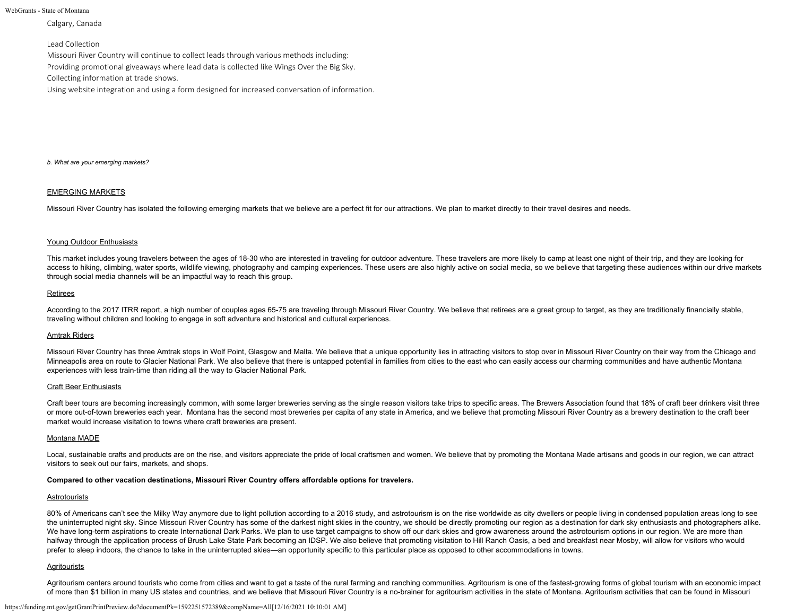Calgary, Canada

### Lead Collection

Missouri River Country will continue to collect leads through various methods including: Providing promotional giveaways where lead data is collected like Wings Over the Big Sky. Collecting information at trade shows.

Using website integration and using a form designed for increased conversation of information.

*b. What are your emerging markets?*

### EMERGING MARKETS

Missouri River Country has isolated the following emerging markets that we believe are a perfect fit for our attractions. We plan to market directly to their travel desires and needs.

#### Young Outdoor Enthusiasts

This market includes young travelers between the ages of 18-30 who are interested in traveling for outdoor adventure. These travelers are more likely to camp at least one night of their trip, and they are looking for access to hiking, climbing, water sports, wildlife viewing, photography and camping experiences. These users are also highly active on social media, so we believe that targeting these audiences within our drive markets through social media channels will be an impactful way to reach this group.

#### Retirees

According to the 2017 ITRR report, a high number of couples ages 65-75 are traveling through Missouri River Country. We believe that retirees are a great group to target, as they are traditionally financially stable, traveling without children and looking to engage in soft adventure and historical and cultural experiences.

#### Amtrak Riders

Missouri River Country has three Amtrak stops in Wolf Point, Glasgow and Malta. We believe that a unique opportunity lies in attracting visitors to stop over in Missouri River Country on their way from the Chicago and Minneapolis area on route to Glacier National Park. We also believe that there is untapped potential in families from cities to the east who can easily access our charming communities and have authentic Montana experiences with less train-time than riding all the way to Glacier National Park.

#### Craft Beer Enthusiasts

Craft beer tours are becoming increasingly common, with some larger breweries serving as the single reason visitors take trips to specific areas. The Brewers Association found that 18% of craft beer drinkers visit three or more out-of-town breweries each year. Montana has the second most breweries per capita of any state in America, and we believe that promoting Missouri River Country as a brewery destination to the craft beer market would increase visitation to towns where craft breweries are present.

### Montana MADE

Local, sustainable crafts and products are on the rise, and visitors appreciate the pride of local craftsmen and women. We believe that by promoting the Montana Made artisans and goods in our region, we can attract visitors to seek out our fairs, markets, and shops.

#### **Compared to other vacation destinations, Missouri River Country offers affordable options for travelers.**

#### **Astrotourists**

80% of Americans can't see the Milky Way anymore due to light pollution according to a 2016 study, and astrotourism is on the rise worldwide as city dwellers or people living in condensed population areas long to see the uninterrupted night sky. Since Missouri River Country has some of the darkest night skies in the country, we should be directly promoting our region as a destination for dark sky enthusiasts and photographers alike. We have long-term aspirations to create International Dark Parks. We plan to use target campaigns to show off our dark skies and grow awareness around the astrotourism options in our region. We are more than halfway through the application process of Brush Lake State Park becoming an IDSP. We also believe that promoting visitation to Hill Ranch Oasis, a bed and breakfast near Mosby, will allow for visitors who would prefer to sleep indoors, the chance to take in the uninterrupted skies—an opportunity specific to this particular place as opposed to other accommodations in towns.

### Agritourists

Agritourism centers around tourists who come from cities and want to get a taste of the rural farming and ranching communities. Agritourism is one of the fastest-growing forms of global tourism with an economic impact of more than \$1 billion in many US states and countries, and we believe that Missouri River Country is a no-brainer for agritourism activities in the state of Montana. Agritourism activities that can be found in Missouri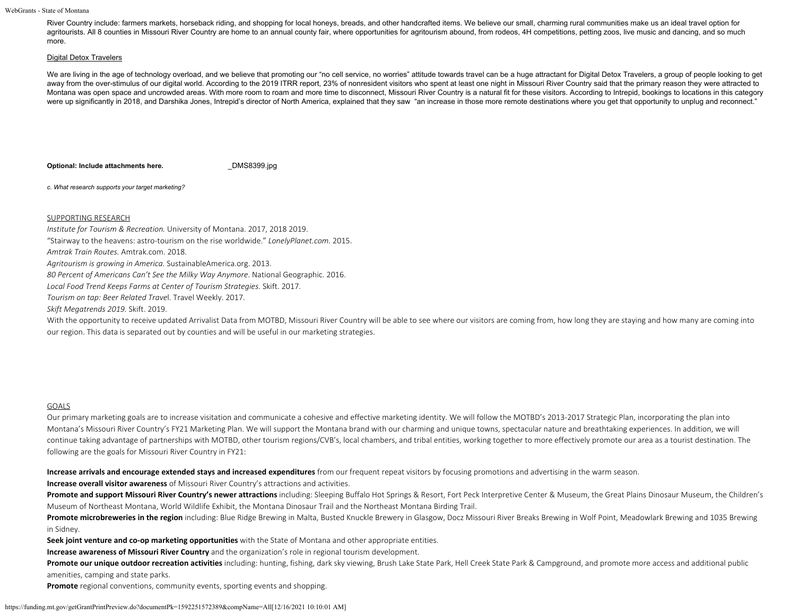River Country include: farmers markets, horseback riding, and shopping for local honeys, breads, and other handcrafted items. We believe our small, charming rural communities make us an ideal travel option for agritourists. All 8 counties in Missouri River Country are home to an annual county fair, where opportunities for agritourism abound, from rodeos, 4H competitions, petting zoos, live music and dancing, and so much more.

#### Digital Detox Travelers

We are living in the age of technology overload, and we believe that promoting our "no cell service, no worries" attitude towards travel can be a huge attractant for Digital Detox Travelers, a group of people looking to ge away from the over-stimulus of our digital world. According to the 2019 ITRR report, 23% of nonresident visitors who spent at least one night in Missouri River Country said that the primary reason they were attracted to Montana was open space and uncrowded areas. With more room to roam and more time to disconnect, Missouri River Country is a natural fit for these visitors. According to Intrepid, bookings to locations in this category were up significantly in 2018, and Darshika Jones, Intrepid's director of North America, explained that they saw "an increase in those more remote destinations where you get that opportunity to unplug and reconnect."

**Optional: Include attachments here. DMS8399.jpg** 

*c. What research supports your target marketing?*

### SUPPORTING RESEARCH

*Institute for Tourism & Recreation.* University of Montana. 2017, 2018 2019.

"Stairway to the heavens: astro-tourism on the rise worldwide." *LonelyPlanet.com.* 2015.

*Amtrak Train Routes.* Amtrak.com. 2018.

*Agritourism is growing in America.* SustainableAmerica.org. 2013.

*80 Percent of Americans Can't See the Milky Way Anymore*. National Geographic. 2016.

*Local Food Trend Keeps Farms at Center of Tourism Strategies*. Skift. 2017.

*Tourism on tap: Beer Related Trave*l. Travel Weekly. 2017.

*Skift Megatrends 2019.* Skift. 2019.

With the opportunity to receive updated Arrivalist Data from MOTBD, Missouri River Country will be able to see where our visitors are coming from, how long they are staying and how many are coming into our region. This data is separated out by counties and will be useful in our marketing strategies.

### GOALS

Our primary marketing goals are to increase visitation and communicate a cohesive and effective marketing identity. We will follow the MOTBD's 2013-2017 Strategic Plan, incorporating the plan into Montana's Missouri River Country's FY21 Marketing Plan. We will support the Montana brand with our charming and unique towns, spectacular nature and breathtaking experiences. In addition, we will continue taking advantage of partnerships with MOTBD, other tourism regions/CVB's, local chambers, and tribal entities, working together to more effectively promote our area as a tourist destination. The following are the goals for Missouri River Country in FY21:

**Increase arrivals and encourage extended stays and increased expenditures** from our frequent repeat visitors by focusing promotions and advertising in the warm season.

**Increase overall visitor awareness** of Missouri River Country's attractions and activities.

Promote and support Missouri River Country's newer attractions including: Sleeping Buffalo Hot Springs & Resort, Fort Peck Interpretive Center & Museum, the Great Plains Dinosaur Museum, the Children's Museum of Northeast Montana, World Wildlife Exhibit, the Montana Dinosaur Trail and the Northeast Montana Birding Trail.

Promote microbreweries in the region including: Blue Ridge Brewing in Malta, Busted Knuckle Brewery in Glasgow, Docz Missouri River Breaks Brewing in Wolf Point, Meadowlark Brewing and 1035 Brewing in Sidney.

**Seek joint venture and co-op marketing opportunities** with the State of Montana and other appropriate entities.

**Increase awareness of Missouri River Country** and the organization's role in regional tourism development.

Promote our unique outdoor recreation activities including: hunting, fishing, dark sky viewing, Brush Lake State Park, Hell Creek State Park & Campground, and promote more access and additional public amenities, camping and state parks.

**Promote** regional conventions, community events, sporting events and shopping.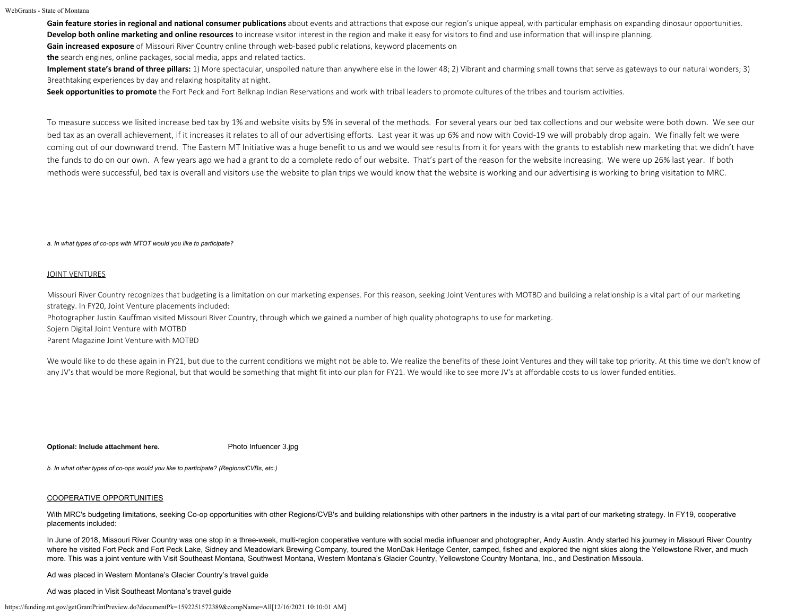Gain feature stories in regional and national consumer publications about events and attractions that expose our region's unique appeal, with particular emphasis on expanding dinosaur opportunities. Develop both online marketing and online resources to increase visitor interest in the region and make it easy for visitors to find and use information that will inspire planning.

**Gain increased exposure** of Missouri River Country online through web-based public relations, keyword placements on

**the** search engines, online packages, social media, apps and related tactics.

**Implement state's brand of three pillars:** 1) More spectacular, unspoiled nature than anywhere else in the lower 48; 2) Vibrant and charming small towns that serve as gateways to our natural wonders; 3) Breathtaking experiences by day and relaxing hospitality at night.

**Seek opportunities to promote** the Fort Peck and Fort Belknap Indian Reservations and work with tribal leaders to promote cultures of the tribes and tourism activities.

To measure success we lisited increase bed tax by 1% and website visits by 5% in several of the methods. For several years our bed tax collections and our website were both down. We see our bed tax as an overall achievement, if it increases it relates to all of our advertising efforts. Last year it was up 6% and now with Covid-19 we will probably drop again. We finally felt we were coming out of our downward trend. The Eastern MT Initiative was a huge benefit to us and we would see results from it for years with the grants to establish new marketing that we didn't have the funds to do on our own. A few years ago we had a grant to do a complete redo of our website. That's part of the reason for the website increasing. We were up 26% last year. If both methods were successful, bed tax is overall and visitors use the website to plan trips we would know that the website is working and our advertising is working to bring visitation to MRC.

*a. In what types of co-ops with MTOT would you like to participate?*

### JOINT VENTURES

Missouri River Country recognizes that budgeting is a limitation on our marketing expenses. For this reason, seeking Joint Ventures with MOTBD and building a relationship is a vital part of our marketing strategy. In FY20, Joint Venture placements included:

Photographer Justin Kauffman visited Missouri River Country, through which we gained a number of high quality photographs to use for marketing.

Sojern Digital Joint Venture with MOTBD

Parent Magazine Joint Venture with MOTBD

We would like to do these again in FY21, but due to the current conditions we might not be able to. We realize the benefits of these Joint Ventures and they will take top priority. At this time we don't know of any JV's that would be more Regional, but that would be something that might fit into our plan for FY21. We would like to see more JV's at affordable costs to us lower funded entities.

**Optional: Include attachment here.** [Photo Infuencer 3.jpg](https://funding.mt.gov/fileDownload.jsp?filename=1586819823051_Photo+Infuencer+3.jpg)

*b. In what other types of co-ops would you like to participate? (Regions/CVBs, etc.)*

### COOPERATIVE OPPORTUNITIES

With MRC's budgeting limitations, seeking Co-op opportunities with other Regions/CVB's and building relationships with other partners in the industry is a vital part of our marketing strategy. In FY19, cooperative placements included:

In June of 2018, Missouri River Country was one stop in a three-week, multi-region cooperative venture with social media influencer and photographer, Andy Austin. Andy started his journey in Missouri River Country where he visited Fort Peck and Fort Peck Lake, Sidney and Meadowlark Brewing Company, toured the MonDak Heritage Center, camped, fished and explored the night skies along the Yellowstone River, and much more. This was a joint venture with Visit Southeast Montana, Southwest Montana, Western Montana's Glacier Country, Yellowstone Country Montana, Inc., and Destination Missoula.

Ad was placed in Western Montana's Glacier Country's travel guide

Ad was placed in Visit Southeast Montana's travel guide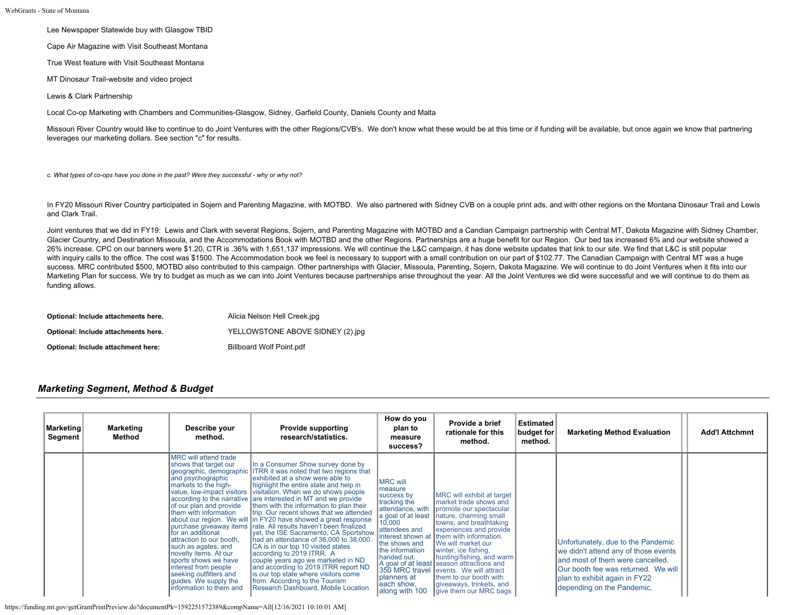Lee Newspaper Statewide buy with Glasgow TBID

Cape Air Magazine with Visit Southeast Montana

True West feature with Visit Southeast Montana

MT Dinosaur Trail-website and video project

Lewis & Clark Partnership

Local Co-op Marketing with Chambers and Communities-Glasgow, Sidney, Garfield County, Daniels County and Malta

Missouri River Country would like to continue to do Joint Ventures with the other Regions/CVB's. We don't know what these would be at this time or if funding will be available, but once again we know that partnering leverages our marketing dollars. See section "c" for results.

*c. What types of co-ops have you done in the past? Were they successful - why or why not?*

In FY20 Missouri River Country participated in Sojern and Parenting Magazine, with MOTBD. We also partnered with Sidney CVB on a couple print ads, and with other regions on the Montana Dinosaur Trail and Lewis and Clark Trail.

Joint ventures that we did in FY19: Lewis and Clark with several Regions, Sojern, and Parenting Magazine with MOTBD and a Candian Campaign partnership with Central MT, Dakota Magazine with Sidney Chamber, Glacier Country, and Destination Missoula, and the Accommodations Book with MOTBD and the other Regions. Partnerships are a huge benefit for our Region. Our bed tax increased 6% and our website showed a 26% increase. CPC on our banners were \$1.20, CTR is .36% with 1,651,137 impressions. We will continue the L&C campaign, it has done website updates that link to our site. We find that L&C is still popular with inquiry calls to the office. The cost was \$1500. The Accommodation book we feel is necessary to support with a small contribution on our part of \$102.77. The Canadian Campaign with Central MT was a huge success. MRC contributed \$500, MOTBD also contributed to this campaign. Other partnerships with Glacier, Missoula, Parenting, Sojern, Dakota Magazine. We will continue to do Joint Ventures when it fits into our Marketing Plan for success. We try to budget as much as we can into Joint Ventures because partnerships arise throughout the year. All the Joint Ventures we did were successful and we will continue to do them as funding allows.

| Optional: Include attachments here. | Alicia Nelson Hell Creek.jpg     |
|-------------------------------------|----------------------------------|
| Optional: Include attachments here. | YELLOWSTONE ABOVE SIDNEY (2).jpg |
| Optional: Include attachment here:  | Billboard Wolf Point.pdf         |

# *Marketing Segment, Method & Budget*

| Marketing<br>Segment | Marketing<br>Method | Describe your<br>method.                                                                                                                                                                                                                                                                                                                                                                                   | <b>Provide supporting</b><br>research/statistics.                                                                                                                                                                                                                                                                                                                                                                                                                                                                                                                                                                                                                                                                                                                                                                                                                                      | How do you<br>plan to<br>measure<br>success?                                                                                                                                                                                                                            | Provide a brief<br>rationale for this<br>method.                                                                                                                                                                                                                                                                                                                                                                                       | <b>Estimated</b><br>budget for<br>method. | <b>Marketing Method Evaluation</b>                                                                                                                                                                                           | <b>Add'l Attchmnt</b> |
|----------------------|---------------------|------------------------------------------------------------------------------------------------------------------------------------------------------------------------------------------------------------------------------------------------------------------------------------------------------------------------------------------------------------------------------------------------------------|----------------------------------------------------------------------------------------------------------------------------------------------------------------------------------------------------------------------------------------------------------------------------------------------------------------------------------------------------------------------------------------------------------------------------------------------------------------------------------------------------------------------------------------------------------------------------------------------------------------------------------------------------------------------------------------------------------------------------------------------------------------------------------------------------------------------------------------------------------------------------------------|-------------------------------------------------------------------------------------------------------------------------------------------------------------------------------------------------------------------------------------------------------------------------|----------------------------------------------------------------------------------------------------------------------------------------------------------------------------------------------------------------------------------------------------------------------------------------------------------------------------------------------------------------------------------------------------------------------------------------|-------------------------------------------|------------------------------------------------------------------------------------------------------------------------------------------------------------------------------------------------------------------------------|-----------------------|
|                      |                     | MRC will attend trade<br>shows that target our<br>geographic, demographic<br>and psychographic<br>markets to the high-<br>of our plan and provide<br>them with information<br>for an additional<br>lattraction to our booth.<br>such as agates, and<br>novelty items. At our<br>sports shows we have<br>interest from people<br>seeking outfitters and<br>guides. We supply the<br>Information to them and | In a Consumer Show survey done by<br><b>ITRR</b> it was noted that two regions that<br>exhibited at a show were able to<br>highlight the entire state and help in<br>value, low-impact visitors visitation. When we do shows people<br>according to the narrative are interested in MT and we provide<br>them with the information to plan their<br>trip. Our recent shows that we attended<br>about our region. We will in FY20 have showed a great response<br>purchase giveaway items rate. All results haven't been finalized<br>vet, the ISE Sacramento, CA Sportshow<br>had an attendance of 36,000 to 38,000.<br>CA is in our top 10 visited states<br>according to 2019 ITRR. A<br>couple years ago we marketed in ND<br>and according to 2019 ITRR report ND<br>is our top state where visitors come<br>from. According to the Tourism<br>Research Dashboard, Mobile Location | <b>MRC will</b><br>measure<br>success by<br>tracking the<br>attendance, with<br>a goal of at least<br>10,000<br>attendees and<br>interest shown at<br>the shows and<br>the information<br>handed out.<br>350 MRC travel<br>planners at<br>each show,<br>lalong with 100 | MRC will exhibit at target<br>Imarket trade shows and<br>promote our spectacular<br>nature, charming small<br>towns, and breathtaking<br>experiences and provide<br>them with information.<br><b>IWe will market our</b><br>winter, ice fishing,<br>hunting/fishing, and warm<br>A goal of at least season attractions and<br>levents. We will attract<br>them to our booth with<br>giveaways, trinkets, and<br>give them our MRC bags |                                           | Unfortunately, due to the Pandemic<br>we didn't attend any of those events<br>land most of them were cancelled.<br><b>Our booth fee was returned. We will</b><br>plan to exhibit again in FY22<br>depending on the Pandemic, |                       |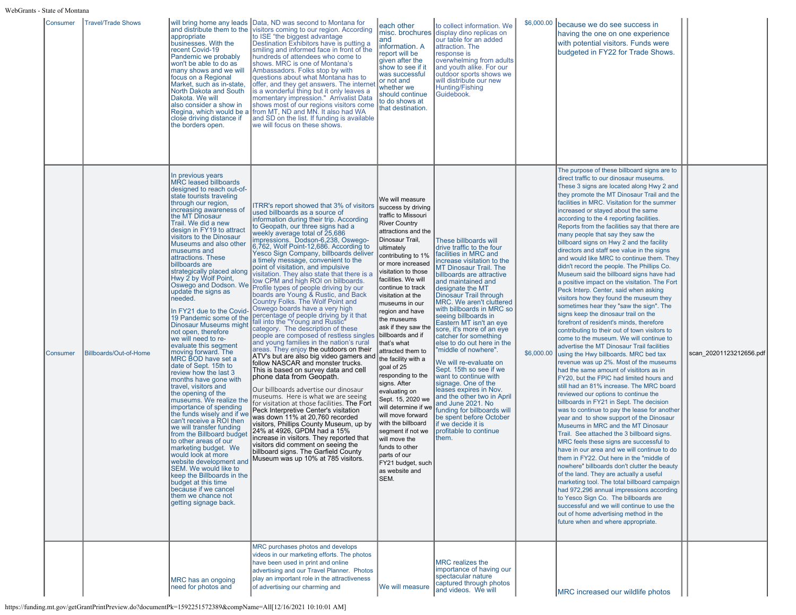| Consumer | Travel/Trade Shows     | appropriate<br>businesses. With the<br>recent Covid-19<br>Pandemic we probably<br>won't be able to do as<br>many shows and we will<br>focus on a Regional<br>Market, such as in-state,<br>North Dakota and South<br><b>IDakota. We will</b><br>close driving distance if<br>the borders open.                                                                                                                                                                                                                                                                                                                                                                                                                                                                                                                                                                                                                                                                                                                                                                                                                                                                                                                                          | will bring home any leads Data, ND was second to Montana for<br>and distribute them to the visitors coming to our region. According<br>to ISE "the biggest advantage<br>Destination Exhibitors have is putting a<br>smiling and informed face in front of the<br>hundreds of attendees who come to<br>shows. MRC is one of Montana's<br>Ambassadors. Folks stop by with<br>questions about what Montana has to<br>offer, and they get answers. The interne<br>is a wonderful thing but it only leaves a<br>momentary impression." Arrivalist Data<br>also consider a show in shows most of our regions visitors come<br>Regina, which would be a from MT, ND and MN. It also had WA<br>and SD on the list. If funding is available<br>we will focus on these shows.                                                                                                                                                                                                                                                                                                                                                                                                                                                                                                                                                                                                                                                                                                                                                                     | each other<br>and<br>information. A<br>report will be<br>given after the<br>show to see if it<br>was successful<br>or not and<br>whether we<br>should continue<br>to do shows at<br>that destination.                                                                                                                                                                                                                                                                                                                                                                                                                                                                                                     | to collect information. We<br>misc. brochures display dino replicas on<br>our table for an added<br>attraction. The<br>response is<br>overwhelming from adults<br>and youth alike. For our<br>outdoor sports shows we<br>will distribute our new<br>Hunting/Fishing<br>Guidebook.                                                                                                                                                                                                                                                                                                                                                                                                                                                                                        | \$6,000.00 | because we do see success in<br>having the one on one experience<br>with potential visitors. Funds were<br>budgeted in FY22 for Trade Shows.                                                                                                                                                                                                                                                                                                                                                                                                                                                                                                                                                                                                                                                                                                                                                                                                                                                                                                                                                                                                                                                                                                                                                                                                                                                                                                                                                                                                                                                                                                                                                                                                                                                                                                                                                                                                                                                                                                            |                         |
|----------|------------------------|----------------------------------------------------------------------------------------------------------------------------------------------------------------------------------------------------------------------------------------------------------------------------------------------------------------------------------------------------------------------------------------------------------------------------------------------------------------------------------------------------------------------------------------------------------------------------------------------------------------------------------------------------------------------------------------------------------------------------------------------------------------------------------------------------------------------------------------------------------------------------------------------------------------------------------------------------------------------------------------------------------------------------------------------------------------------------------------------------------------------------------------------------------------------------------------------------------------------------------------|-----------------------------------------------------------------------------------------------------------------------------------------------------------------------------------------------------------------------------------------------------------------------------------------------------------------------------------------------------------------------------------------------------------------------------------------------------------------------------------------------------------------------------------------------------------------------------------------------------------------------------------------------------------------------------------------------------------------------------------------------------------------------------------------------------------------------------------------------------------------------------------------------------------------------------------------------------------------------------------------------------------------------------------------------------------------------------------------------------------------------------------------------------------------------------------------------------------------------------------------------------------------------------------------------------------------------------------------------------------------------------------------------------------------------------------------------------------------------------------------------------------------------------------------|-----------------------------------------------------------------------------------------------------------------------------------------------------------------------------------------------------------------------------------------------------------------------------------------------------------------------------------------------------------------------------------------------------------------------------------------------------------------------------------------------------------------------------------------------------------------------------------------------------------------------------------------------------------------------------------------------------------|--------------------------------------------------------------------------------------------------------------------------------------------------------------------------------------------------------------------------------------------------------------------------------------------------------------------------------------------------------------------------------------------------------------------------------------------------------------------------------------------------------------------------------------------------------------------------------------------------------------------------------------------------------------------------------------------------------------------------------------------------------------------------|------------|---------------------------------------------------------------------------------------------------------------------------------------------------------------------------------------------------------------------------------------------------------------------------------------------------------------------------------------------------------------------------------------------------------------------------------------------------------------------------------------------------------------------------------------------------------------------------------------------------------------------------------------------------------------------------------------------------------------------------------------------------------------------------------------------------------------------------------------------------------------------------------------------------------------------------------------------------------------------------------------------------------------------------------------------------------------------------------------------------------------------------------------------------------------------------------------------------------------------------------------------------------------------------------------------------------------------------------------------------------------------------------------------------------------------------------------------------------------------------------------------------------------------------------------------------------------------------------------------------------------------------------------------------------------------------------------------------------------------------------------------------------------------------------------------------------------------------------------------------------------------------------------------------------------------------------------------------------------------------------------------------------------------------------------------------------|-------------------------|
| Consumer | Billboards/Out-of-Home | In previous years<br><b>MRC leased billboards</b><br>designed to reach out-of-<br>state tourists traveling<br>through our region,<br>increasing awareness of<br>the MT Dinosaur<br>Trail. We did a new<br>design in FY19 to attract<br>visitors to the Dinosaur<br>Museums and also other<br>museums and<br>attractions. These<br>billboards are<br>strategically placed along<br>Hwy 2 by Wolf Point,<br>Oswego and Dodson. We<br>update the signs as<br>needed.<br>In FY21 due to the Covid-<br>19 Pandemic some of the<br><b>Dinosaur Museums might</b><br>not open, therefore<br>we will need to re-<br>evaluate this segment<br>moving forward. The<br>MRC BOD have set a<br>date of Sept. 15th to<br>review how the last 3<br>months have gone with<br>travel, visitors and<br>the opening of the<br>museums. We realize the<br>importance of spending<br>the funds wisely and if we<br>can't receive a ROI then<br>we will transfer funding<br>from the Billboard budget<br>to other areas of our<br>marketing budget. We<br>would look at more<br>Iwebsite development ar<br>SEM. We would like to<br>keep the Billboards in the<br>budget at this time<br>because if we cancel<br>them we chance not<br>getting signage back. | ITRR's report showed that 3% of visitors<br>used billboards as a source of<br>information during their trip. According<br>to Geopath, our three signs had a<br>weekly average total of 25,686<br>impressions. Dodson-6,238, Oswego-<br>6,762, Wolf Point-12,686. According to<br>Yesco Sign Company, billboards deliver<br>a timely message, convenient to the<br>point of visitation, and impulsive<br>visitation. They also state that there is a<br>low CPM and high ROI on billboards.<br>Profile types of people driving by our<br>boards are Young & Rustic, and Back<br>Country Folks. The Wolf Point and<br>Oswego boards have a very high<br>percentage of people driving by it that<br>fall into the "Young and Rustic"<br>category. The description of these<br>people are composed of restless singles billboards and if<br>and young families in the nation's rural<br>areas. They enjoy the outdoors on their<br>ATV's but are also big video gamers and<br>follow NASCAR and monster trucks.<br>This is based on survey data and cell<br>∣phone data from Geopath.<br>Our billboards advertise our dinosaur<br>museums. Here is what we are seeing<br>for visitation at those facilities. The Fort<br>Peck Interpretive Center's visitation<br>was down 11% at 20,760 recorded<br>visitors, Phillips County Museum, up by<br>24% at 4926, GPDM had a 15%<br>increase in visitors. They reported that<br>visitors did comment on seeing the<br>billboard signs. The Garfield County<br>Museum was up 10% at 785 visitors. | We will measure<br>success by driving<br>traffic to Missouri<br><b>River Country</b><br>attractions and the<br>Dinosaur Trail,<br>ultimately<br>contributing to 1%<br>or more increased<br>visitation to those<br>facilities. We will<br>continue to track<br>visitation at the<br>museums in our<br>region and have<br>the museums<br>ask if they saw the<br>that's what<br>attracted them to<br>the facility with a<br>goal of 25<br>responding to the<br>signs. After<br>evaluating on<br>Sept. 15, 2020 we<br>will determine if we<br>will move forward<br>with the billboard<br>segment if not we<br>will move the<br>funds to other<br>parts of our<br>FY21 budget, such<br>as website and<br>ISEM. | These billboards will<br>drive traffic to the four<br>facilities in MRC and<br>increase visitation to the<br><b>MT Dinosaur Trail, The</b><br>billboards are attractive<br>and maintained and<br>designate the MT<br>Dinosaur Trail through<br>MRC. We aren't cluttered<br>with billboards in MRC so<br>seeing billboards in<br>Eastern MT isn't an eye<br>sore, it's more of an eye<br>catcher for something<br>else to do out here in the<br>"middle of nowhere".<br>We will re-evaluate on<br>Sept. 15th so see if we<br>want to continue with<br>signage. One of the<br>leases expires in Nov.<br>and the other two in April<br>and June 2021. No<br>funding for billboards will<br>be spent before October<br>if we decide it is<br>profitable to continue<br>them. | \$6,000.00 | The purpose of these billboard signs are to<br>direct traffic to our dinosaur museums.<br>These 3 signs are located along Hwy 2 and<br>they promote the MT Dinosaur Trail and the<br>facilities in MRC. Visitation for the summer<br>increased or stayed about the same<br>according to the 4 reporting facilities.<br>Reports from the facilities say that there are<br>many people that say they saw the<br>billboard signs on Hwy 2 and the facility<br>directors and staff see value in the signs<br>and would like MRC to continue them. They<br>didn't record the people. The Phillips Co.<br>Museum said the billboard signs have had<br>a positive impact on the visitation. The Fort<br>Peck Interp. Center, said when asking<br>visitors how they found the museum they<br>sometimes hear they "saw the sign". The<br>signs keep the dinosaur trail on the<br>forefront of resident's minds, therefore<br>contributing to their out of town visitors to<br>come to the museum. We will continue to<br>advertise the MT Dinosaur Trail facilities<br>using the Hwy billboards. MRC bed tax<br>revenue was up 2%. Most of the museums<br>had the same amount of visititors as in<br>FY20, but the FPIC had limited hours and<br>still had an 81% increase. The MRC board<br>reviewed our options to continue the<br>billboards in FY21 in Sept. The decision<br>was to continue to pay the lease for another<br>year and to show support of the Dinosaur<br>Museums in MRC and the MT Dinosaur<br>Trail. See attached the 3 billboard signs.<br>MRC feels these signs are successful to<br>Ihave in our area and we will continue to do<br>them in FY22. Out here in the "middle of<br>nowhere" billboards don't clutter the beauty<br>of the land. They are actually a useful<br>marketing tool. The total billboard campaign<br>had 972,296 annual impressions according<br>to Yesco Sign Co. The billboards are<br>successful and we will continue to use the<br>out of home advertising method in the<br>future when and where appropriate. | scan 20201123212656.pdf |
|          |                        | MRC has an ongoing<br>need for photos and                                                                                                                                                                                                                                                                                                                                                                                                                                                                                                                                                                                                                                                                                                                                                                                                                                                                                                                                                                                                                                                                                                                                                                                              | MRC purchases photos and develops<br>videos in our marketing efforts. The photos<br>have been used in print and online<br>advertising and our Travel Planner. Photos<br>play an important role in the attractiveness<br>of advertising our charming and                                                                                                                                                                                                                                                                                                                                                                                                                                                                                                                                                                                                                                                                                                                                                                                                                                                                                                                                                                                                                                                                                                                                                                                                                                                                                 | We will measure                                                                                                                                                                                                                                                                                                                                                                                                                                                                                                                                                                                                                                                                                           | MRC realizes the<br>importance of having our<br>spectacular nature<br>captured through photos<br>and videos. We will                                                                                                                                                                                                                                                                                                                                                                                                                                                                                                                                                                                                                                                     |            | MRC increased our wildlife photos                                                                                                                                                                                                                                                                                                                                                                                                                                                                                                                                                                                                                                                                                                                                                                                                                                                                                                                                                                                                                                                                                                                                                                                                                                                                                                                                                                                                                                                                                                                                                                                                                                                                                                                                                                                                                                                                                                                                                                                                                       |                         |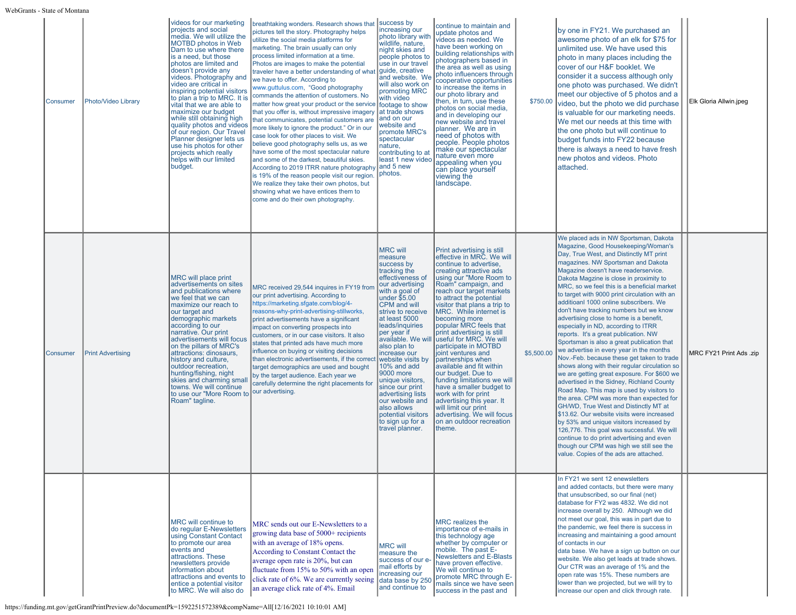| Consumer | Photo/Video Library      | videos for our marketing<br>projects and social<br>media. We will utilize the<br><b>MOTBD photos in Web</b><br>Dam to use where there<br>is a need, but those<br>photos are limited and<br>doesn't provide any<br>videos. Photography and<br>video are critical in<br>inspiring potential visitors<br>vital that we are able to<br>maximize our budget<br>while still obtaining high<br>quality photos and videos<br>of our region. Our Travel<br>Planner designer lets us<br>use his photos for other<br>projects which really<br>helps with our limited<br>budget. | breathtaking wonders. Research shows that success by<br>pictures tell the story. Photography helps<br>utilize the social media platforms for<br>marketing. The brain usually can only<br>process limited information at a time.<br>Photos are images to make the potential<br>traveler have a better understanding of what<br>we have to offer. According to<br>www.guttulus.com, "Good photography<br>to plan a trip to MRC. It is commands the attention of customers. No<br>matter how great your product or the service footage to show<br>that you offer is, without impressive imagery<br>that communicates, potential customers are<br>more likely to ignore the product." Or in our<br>case look for other places to visit. We<br>believe good photography sells us, as we<br>have some of the most spectacular nature<br>and some of the darkest, beautiful skies.<br>According to 2019 ITRR nature photography and 5 new<br>is 19% of the reason people visit our region.<br>We realize they take their own photos, but<br>showing what we have entices them to<br>come and do their own photography. | increasing our<br>photo library with<br>wildlife, nature,<br>night skies and<br>people photos to<br>use in our travel<br>guide, creative<br>and website. We<br>will also work on<br>promoting MRC<br>with video<br>at trade shows<br>and on our<br>website and<br>promote MRC's<br>spectacular<br>nature,<br>contributing to at<br>least 1 new video<br>photos.                                                                                                                                             | continue to maintain and<br>update photos and<br>videos as needed. We<br>have been working on<br>building relationships with<br>photographers based in<br>the area as well as using<br>photo influencers through<br>cooperative opportunities<br>to increase the items in<br>our photo library and<br>then, in turn, use these<br>photos on social media,<br>and in developing our<br>new website and travel<br>planner. We are in<br>need of photos with<br>people. People photos<br>make our spectacular<br>nature even more<br>appealing when you<br>can place yourself<br>viewing the<br>landscape.                                                                                                              | \$750.00   | by one in FY21. We purchased an<br>awesome photo of an elk for \$75 for<br>unlimited use. We have used this<br>photo in many places including the<br>cover of our H&F booklet. We<br>consider it a success although only<br>one photo was purchased. We didn't<br>meet our objective of 5 photos and a<br>video, but the photo we did purchase<br>lis valuable for our marketing needs.<br>We met our needs at this time with<br>the one photo but will continue to<br>budget funds into FY22 because<br>there is always a need to have fresh<br>new photos and videos. Photo<br>attached.                                                                                                                                                                                                                                                                                                                                                                                                                                                                                                                                                                                                                                                                               | Elk Gloria Allwin.jpeg  |
|----------|--------------------------|----------------------------------------------------------------------------------------------------------------------------------------------------------------------------------------------------------------------------------------------------------------------------------------------------------------------------------------------------------------------------------------------------------------------------------------------------------------------------------------------------------------------------------------------------------------------|-----------------------------------------------------------------------------------------------------------------------------------------------------------------------------------------------------------------------------------------------------------------------------------------------------------------------------------------------------------------------------------------------------------------------------------------------------------------------------------------------------------------------------------------------------------------------------------------------------------------------------------------------------------------------------------------------------------------------------------------------------------------------------------------------------------------------------------------------------------------------------------------------------------------------------------------------------------------------------------------------------------------------------------------------------------------------------------------------------------------|-------------------------------------------------------------------------------------------------------------------------------------------------------------------------------------------------------------------------------------------------------------------------------------------------------------------------------------------------------------------------------------------------------------------------------------------------------------------------------------------------------------|----------------------------------------------------------------------------------------------------------------------------------------------------------------------------------------------------------------------------------------------------------------------------------------------------------------------------------------------------------------------------------------------------------------------------------------------------------------------------------------------------------------------------------------------------------------------------------------------------------------------------------------------------------------------------------------------------------------------|------------|--------------------------------------------------------------------------------------------------------------------------------------------------------------------------------------------------------------------------------------------------------------------------------------------------------------------------------------------------------------------------------------------------------------------------------------------------------------------------------------------------------------------------------------------------------------------------------------------------------------------------------------------------------------------------------------------------------------------------------------------------------------------------------------------------------------------------------------------------------------------------------------------------------------------------------------------------------------------------------------------------------------------------------------------------------------------------------------------------------------------------------------------------------------------------------------------------------------------------------------------------------------------------|-------------------------|
| Consumer | <b>Print Advertising</b> | MRC will place print<br>advertisements on sites<br>and publications where<br>we feel that we can<br>maximize our reach to<br>our target and<br>demographic markets<br>according to our<br>narrative. Our print<br>advertisements will focus<br>on the pillars of MRC's<br>attractions: dinosaurs,<br>history and culture,<br>outdoor recreation,<br>hunting/fishing, night<br>skies and charming smal<br>towns. We will continue<br>to use our "More Room to our advertising.<br>Roam" tagline.                                                                      | MRC received 29,544 inquires in FY19 fron<br>our print advertising. According to<br>https://marketing.sfgate.com/blog/4-<br>reasons-why-print-advertising-stillworks,<br>print advertisements have a significant<br>impact on converting prospects into<br>customers, or in our case visitors. It also<br>states that printed ads have much more<br>influence on buying or visiting decisions<br>than electronic advertisements, if the corred<br>target demographics are used and bought<br>by the target audience. Each year we<br>carefully determine the right placements for                                                                                                                                                                                                                                                                                                                                                                                                                                                                                                                               | <b>MRC</b> will<br>measure<br>success by<br>tracking the<br>effectiveness of<br>our advertising<br>with a goal of<br>$\vert$ under $$5.00$<br><b>CPM</b> and will<br>strive to receive<br>at least 5000<br>leads/inquiries<br>per year if<br>available. We wil<br>also plan to<br>increase our<br>website visits by<br>10% and add<br>9000 more<br>unique visitors,<br>since our print<br>advertising lists<br>our website and<br>lalso allows<br>potential visitors<br>to sign up for a<br>travel planner. | Print advertising is still<br>effective in MRC. We will<br>continue to advertise.<br>creating attractive ads<br>using our "More Room to<br>Roam" campaign, and<br>reach our target markets<br>to attract the potential<br>visitor that plans a trip to<br>MRC. While internet is<br>becoming more<br>popular MRC feels that<br>print advertising is still<br>useful for MRC. We will<br>participate in MOTBD<br>joint ventures and<br>partnerships when<br>available and fit within<br>our budget. Due to<br>funding limitations we will<br>have a smaller budget to<br>work with for print<br>advertising this year. It<br>will limit our print<br>advertising. We will focus<br>on an outdoor recreation<br>theme. | \$5,500.00 | We placed ads in NW Sportsman, Dakota<br>Magazine, Good Housekeeping/Woman's<br>Day, True West, and Distinctly MT print<br>magazines. NW Sportsman and Dakota<br>Magazine doesn't have readerservice.<br>Dakota Magzine is close in proximity to<br>MRC, so we feel this is a beneficial market<br>to target with 9000 print circulation with an<br>additioanl 1000 online subscribers. We<br>don't have tracking numbers but we know<br>advertising close to home is a benefit,<br>especially in ND, according to ITRR<br>reports. It's a great publication. NW<br>Sportsman is also a great publication that<br>we advertise in every year in the months<br>Nov.-Feb. because these get taken to trade<br>shows along with their regular circulation so<br>we are getting great exposure. For \$600 we<br>advertised in the Sidney, Richland County<br>Road Map. This map is used by visitors to<br>the area. CPM was more than expected for<br><b>GH/WD, True West and Distinctly MT at</b><br>\$13.62. Our website visits were increased<br>by 53% and unique visitors increased by<br>126,776. This goal was successful. We will<br>continue to do print advertising and even<br>though our CPM was high we still see the<br>value. Copies of the ads are attached. | MRC FY21 Print Ads .zip |
|          |                          | MRC will continue to<br>do regular E-Newsletters<br>using Constant Contact<br>to promote our area<br>events and<br>attractions. These<br>newsletters provide<br>information about<br>attractions and events to<br>entice a potential visitor<br>to MRC. We will also do                                                                                                                                                                                                                                                                                              | MRC sends out our E-Newsletters to a<br>growing data base of 5000+ recipients<br>with an average of 18% opens.<br>According to Constant Contact the<br>average open rate is 20%, but can<br>fluctuate from 15% to 50% with an open<br>click rate of 6%. We are currently seeing data base by 250<br>an average click rate of 4%. Email                                                                                                                                                                                                                                                                                                                                                                                                                                                                                                                                                                                                                                                                                                                                                                          | <b>MRC</b> will<br>measure the<br>success of our e<br>mail efforts by<br>increasing our<br>and continue to                                                                                                                                                                                                                                                                                                                                                                                                  | <b>MRC</b> realizes the<br>importance of e-mails in<br>this technology age<br>whether by computer or<br>mobile. The past E-<br><b>Newsletters and E-Blasts</b><br>have proven effective.<br>We will continue to<br>promote MRC through E-<br>mails since we have seen<br>success in the past and                                                                                                                                                                                                                                                                                                                                                                                                                     |            | In FY21 we sent 12 enewsletters<br>and added contacts, but there were many<br>that unsubscribed, so our final (net)<br>database for FY2 was 4832. We did not<br>increase overall by 250. Although we did<br>not meet our goal, this was in part due to<br>the pandemic, we feel there is success in<br>increasing and maintaining a good amount<br>of contacts in our<br>data base. We have a sign up button on our<br>website. We also get leads at trade shows.<br>Our CTR was an average of 1% and the<br>open rate was 15%. These numbers are<br>lower than we projected, but we will try to<br>increase our open and click through rate.                                                                                                                                                                                                                                                                                                                                                                                                                                                                                                                                                                                                                            |                         |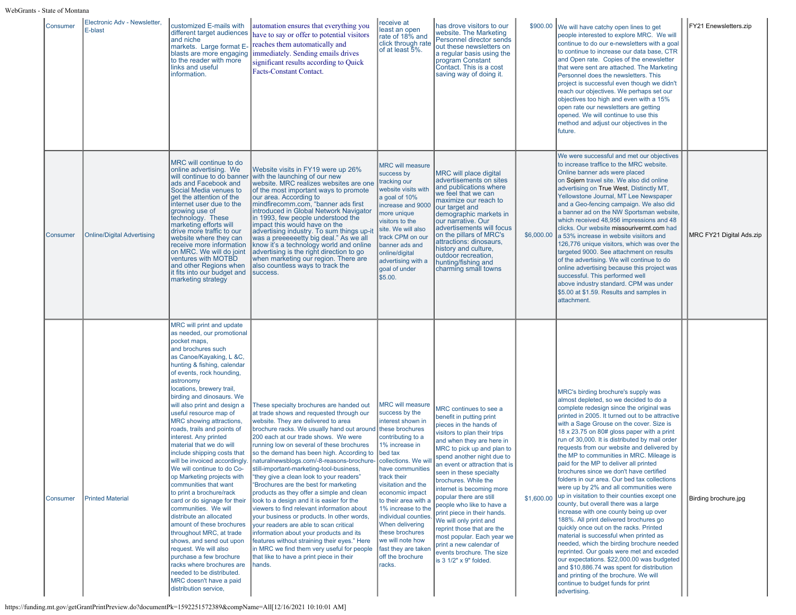| Consumer | Electronic Adv - Newsletter,<br>E-blast | customized E-mails with<br>different target audiences<br>and niche<br>markets. Large format E-<br>to the reader with more<br>links and useful<br>information.                                                                                                                                                                                                                                                                                                                                                                                                                                                                                                                                                                                                                                                                                                                                                                                                     | automation ensures that everything you<br>have to say or offer to potential visitors<br>reaches them automatically and<br>blasts are more engaging immediately. Sending emails drives<br>significant results according to Quick<br>Facts-Constant Contact.                                                                                                                                                                                                                                                                                                                                                                                                                                                                                                                                                                                                                                                                                                            | receive at<br>least an open<br>rate of 18% and<br>click through rate<br>of at least 5%.                                                                                                                                                                                                                                                                                | has drove visitors to our<br>website. The Marketing<br>Personnel director sends<br>out these newsletters on<br>a regular basis using the<br>program Constant<br>Contact. This is a cost<br>saving way of doing it.                                                                                                                                                                                                                                                                                                                                                                     | \$900.00   | We will have catchy open lines to get<br>people interested to explore MRC. We will<br>continue to do our e-newsletters with a goal<br>to continue to increase our data base, CTR<br>and Open rate. Copies of the enewsletter<br>that were sent are attached. The Marketing<br>Personnel does the newsletters. This<br>project is successful even though we didn't<br>reach our objectives. We perhaps set our<br>objectives too high and even with a 15%<br>open rate our newsletters are getting<br>opened. We will continue to use this<br>method and adjust our objectives in the<br>future.                                                                                                                                                                                                                                                                                                                                                                                                                                                                                                                                                          | FY21 Enewsletters.zip    |
|----------|-----------------------------------------|-------------------------------------------------------------------------------------------------------------------------------------------------------------------------------------------------------------------------------------------------------------------------------------------------------------------------------------------------------------------------------------------------------------------------------------------------------------------------------------------------------------------------------------------------------------------------------------------------------------------------------------------------------------------------------------------------------------------------------------------------------------------------------------------------------------------------------------------------------------------------------------------------------------------------------------------------------------------|-----------------------------------------------------------------------------------------------------------------------------------------------------------------------------------------------------------------------------------------------------------------------------------------------------------------------------------------------------------------------------------------------------------------------------------------------------------------------------------------------------------------------------------------------------------------------------------------------------------------------------------------------------------------------------------------------------------------------------------------------------------------------------------------------------------------------------------------------------------------------------------------------------------------------------------------------------------------------|------------------------------------------------------------------------------------------------------------------------------------------------------------------------------------------------------------------------------------------------------------------------------------------------------------------------------------------------------------------------|----------------------------------------------------------------------------------------------------------------------------------------------------------------------------------------------------------------------------------------------------------------------------------------------------------------------------------------------------------------------------------------------------------------------------------------------------------------------------------------------------------------------------------------------------------------------------------------|------------|----------------------------------------------------------------------------------------------------------------------------------------------------------------------------------------------------------------------------------------------------------------------------------------------------------------------------------------------------------------------------------------------------------------------------------------------------------------------------------------------------------------------------------------------------------------------------------------------------------------------------------------------------------------------------------------------------------------------------------------------------------------------------------------------------------------------------------------------------------------------------------------------------------------------------------------------------------------------------------------------------------------------------------------------------------------------------------------------------------------------------------------------------------|--------------------------|
| Consumer | <b>Online/Digital Advertising</b>       | MRC will continue to do<br>online advertising. We<br>ads and Facebook and<br>Social Media venues to<br>get the attention of the<br>internet user due to the<br>growing use of<br>technology. These<br>marketing efforts will<br>drive more traffic to our<br>website where they can<br>receive more information<br>on MRC. We will do joint<br>ventures with MOTBD<br>and other Regions when<br>it fits into our budget and<br>marketing strategy                                                                                                                                                                                                                                                                                                                                                                                                                                                                                                                 | Website visits in FY19 were up 26%<br>will continue to do banner with the launching of our new<br>website. MRC realizes websites are one<br>of the most important ways to promote<br>our area. According to<br>mindfirecomm.com, "banner ads first<br>introduced in Global Network Navigator<br>in 1993, few people understood the<br>impact this would have on the<br>advertising industry. To sum things up-it<br>was a preceeeetty big deal." As we all<br>know it's a technology world and online<br>advertising is the right direction to go<br>when marketing our region. There are<br>also countless ways to track the<br>success.                                                                                                                                                                                                                                                                                                                             | <b>MRC will measure</b><br>success by<br>tracking our<br>website visits with<br>a goal of 10%<br>increase and 9000<br>more unique<br>visitors to the<br>site. We will also<br>track CPM on our<br>banner ads and<br>online/digital<br>advertising with a<br>goal of under<br>\$5.00.                                                                                   | MRC will place digital<br>advertisements on sites<br>and publications where<br>we feel that we can<br>maximize our reach to<br>our target and<br>demographic markets in<br>our narrative. Our<br>advertisements will focus<br>on the pillars of MRC's<br>attractions: dinosaurs,<br>history and culture,<br>outdoor recreation,<br>hunting/fishing and<br>charming small towns                                                                                                                                                                                                         | \$6,000.00 | We were successful and met our objectives<br>to increase traffice to the MRC website.<br>Online banner ads were placed<br>on Sojern travel site. We also did online<br>advertising on True West, Distinctly MT,<br>Yellowstone Journal, MT Lee Newspaper<br>and a Geo-fencing campaign. We also did<br>a banner ad on the NW Sportsman website,<br>which received 48,956 impressions and 48<br>clicks. Our website missourivermt.com had<br>a 53% increase in website visiitors and<br>126,776 unique visitors, which was over the<br>targeted 9000. See attachment on results<br>of the advertising. We will continue to do<br>online advertising because this project was<br>successful. This performed well<br>above industry standard. CPM was under<br>\$5.00 at \$1.59. Results and samples in<br>attachment.                                                                                                                                                                                                                                                                                                                                      | MRC FY21 Digital Ads.zip |
| Consumer | <b>Printed Material</b>                 | MRC will print and update<br>as needed, our promotional<br>pocket maps,<br>and brochures such<br>as Canoe/Kayaking, L &C,<br>hunting & fishing, calendar<br>of events, rock hounding,<br>astronomy<br>locations, brewery trail,<br>birding and dinosaurs. We<br>will also print and design a<br>useful resource map of<br>MRC showing attractions,<br>roads, trails and points of<br>interest. Any printed<br>material that we do will<br>include shipping costs that<br>will be invoiced accordingly.<br>We will continue to do Co-<br>op Marketing projects with<br>communities that want<br>to print a brochure/rack<br>card or do signage for their<br>communities. We will<br>distribute an allocated<br>amount of these brochures<br>throughout MRC, at trade<br>shows, and send out upon<br>request. We will also<br>purchase a few brochure<br>racks where brochures are<br>needed to be distributed.<br>MRC doesn't have a paid<br>distribution service, | These specialty brochures are handed out<br>at trade shows and requested through our<br>website. They are delivered to area<br>brochure racks. We usually hand out around these brochures<br>200 each at our trade shows. We were<br>running low on several of these brochures<br>so the demand has been high. According to bed tax<br>naturalnewsblogs.com/-8-reasons-brochure- collections. We will<br>still-important-marketing-tool-business,<br>"they give a clean look to your readers"<br>"Brochures are the best for marketing<br>products as they offer a simple and clean<br>look to a design and it is easier for the<br>viewers to find relevant information about<br>your business or products. In other words,<br>your readers are able to scan critical<br>information about your products and its<br>features without straining their eyes." Here<br>in MRC we find them very useful for people<br>that like to have a print piece in their<br>hands. | <b>MRC will measure</b><br>success by the<br>interest shown in<br>contributing to a<br>1% increase in<br>have communities<br>track their<br>visitation and the<br>economic impact<br>to their area with a<br>1% increase to the<br>individual counties.<br>When delivering<br>these brochures<br>we will note how<br>fast they are taker<br>off the brochure<br>racks. | MRC continues to see a<br>benefit in putting print<br>pieces in the hands of<br>visitors to plan their trips<br>and when they are here in<br>MRC to pick up and plan to<br>spend another night due to<br>an event or attraction that is<br>seen in these specialty<br>brochures. While the<br>internet is becoming more<br>popular there are still<br>people who like to have a<br>print piece in their hands.<br>We will only print and<br>reprint those that are the<br>most popular. Each year we<br>print a new calendar of<br>events brochure. The size<br>is 3 1/2" x 9" folded. | \$1,600.00 | MRC's birding brochure's supply was<br>almost depleted, so we decided to do a<br>complete redesign since the original was<br>printed in 2005. It turned out to be attractive<br>with a Sage Grouse on the cover. Size is<br>18 x 23.75 on 80# gloss paper with a print<br>run of 30,000. It is distributed by mail order<br>requests from our website and delivered by<br>the MP to communities in MRC. Mileage is<br>paid for the MP to deliver all printed<br>brochures since we don't have certified<br>folders in our area. Our bed tax collections<br>were up by 2% and all communities were<br>up in visitation to their counties except one<br>county, but overall there was a large<br>increase with one county being up over<br>188%. All print delivered brochures go<br>quickly once out on the racks. Printed<br>material is successful when printed as<br>needed, which the birding brochure needed<br>reprinted. Our goals were met and exceded<br>our expectations. \$22,000.00 was budgeted<br>and \$10,886.74 was spent for distribution<br>and printing of the brochure. We will<br>continue to budget funds for print<br>advertising. | Birding brochure.jpg     |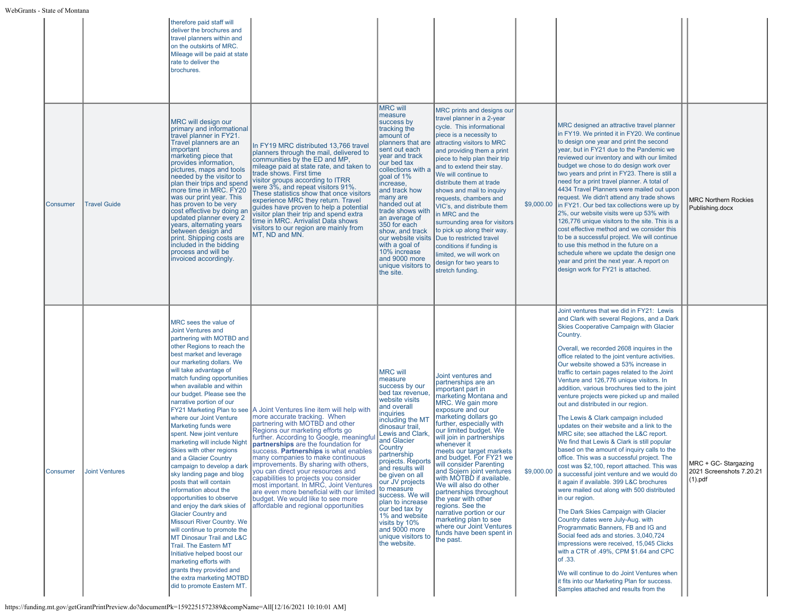| Consumer | <b>Travel Guide</b>   | therefore paid staff will<br>deliver the brochures and<br>travel planners within and<br>on the outskirts of MRC.<br>Mileage will be paid at state<br>rate to deliver the<br>brochures.<br>MRC will design our<br>primary and informational<br>travel planner in FY21.<br>Travel planners are an<br>important<br>marketing piece that<br>provides information,<br>pictures, maps and tools<br>needed by the visitor to<br>plan their trips and spend<br>more time in MRC. FY20<br>was our print year. This<br>has proven to be very<br>cost effective by doing an<br>updated planner every 2<br>years, alternating years<br>between design and<br>print. Shipping costs are<br>included in the bidding<br>process and will be<br>invoiced accordingly.                                                                                                 | In FY19 MRC distributed 13,766 travel<br>planners through the mail, delivered to<br>communities by the ED and MP,<br>mileage paid at state rate, and taken to<br>trade shows. First time<br>visitor groups according to ITRR<br>were 3%, and repeat visitors 91%.<br>These statistics show that once visitors<br>experience MRC they return. Travel<br>guides have proven to help a potential<br>visitor plan their trip and spend extra<br>time in MRC. Arrivalist Data shows<br>visitors to our region are mainly from<br>MT, ND and MN.                                                                                              | <b>MRC will</b><br>measure<br>success by<br>tracking the<br>amount of<br>planners that are<br>sent out each<br>year and track<br>our bed tax<br>collections with a<br>goal of 1%<br>increase,<br>and track how<br>many are<br>handed out at<br>trade shows with<br>an average of<br>350 for each<br>show, and track<br>our website visits<br>with a goal of<br>10% increase<br>and 9000 more<br>unique visitors to<br>the site.                                     | MRC prints and designs our<br>travel planner in a 2-year<br>cycle. This informational<br>piece is a necessity to<br>attracting visitors to MRC<br>and providing them a print<br>piece to help plan their trip<br>and to extend their stay.<br>We will continue to<br>distribute them at trade<br>shows and mail to inquiry<br>requests, chambers and<br>VIC's, and distribute them<br>in MRC and the<br>surrounding area for visitors<br>to pick up along their way.<br>Due to restricted travel<br>conditions if funding is<br>limited, we will work on<br>design for two years to<br>stretch funding.                         |            | MRC designed an attractive travel planner<br>in FY19. We printed it in FY20. We continue<br>to design one year and print the second<br>year, but in FY21 due to the Pandemic we<br>reviewed our inventory and with our limited<br>budget we chose to do design work over<br>two years and print in FY23. There is still a<br>need for a print travel planner. A total of<br>4434 Travel Planners were mailed out upon<br>request. We didn't attend any trade shows<br>\$9,000.00  in FY21. Our bed tax collections were up by<br>2%, our website visits were up 53% with<br>126,776 unique visitors to the site. This is a<br>cost effective method and we consider this<br>to be a successful project. We will continue<br>to use this method in the future on a<br>schedule where we update the design one<br>year and print the next year. A report on<br>design work for FY21 is attached.                                                                                                                                                                                                                                                                                                                                                                             | <b>MRC Northern Rockies</b><br>Publishing.docx                 |
|----------|-----------------------|-------------------------------------------------------------------------------------------------------------------------------------------------------------------------------------------------------------------------------------------------------------------------------------------------------------------------------------------------------------------------------------------------------------------------------------------------------------------------------------------------------------------------------------------------------------------------------------------------------------------------------------------------------------------------------------------------------------------------------------------------------------------------------------------------------------------------------------------------------|-----------------------------------------------------------------------------------------------------------------------------------------------------------------------------------------------------------------------------------------------------------------------------------------------------------------------------------------------------------------------------------------------------------------------------------------------------------------------------------------------------------------------------------------------------------------------------------------------------------------------------------------|---------------------------------------------------------------------------------------------------------------------------------------------------------------------------------------------------------------------------------------------------------------------------------------------------------------------------------------------------------------------------------------------------------------------------------------------------------------------|---------------------------------------------------------------------------------------------------------------------------------------------------------------------------------------------------------------------------------------------------------------------------------------------------------------------------------------------------------------------------------------------------------------------------------------------------------------------------------------------------------------------------------------------------------------------------------------------------------------------------------|------------|----------------------------------------------------------------------------------------------------------------------------------------------------------------------------------------------------------------------------------------------------------------------------------------------------------------------------------------------------------------------------------------------------------------------------------------------------------------------------------------------------------------------------------------------------------------------------------------------------------------------------------------------------------------------------------------------------------------------------------------------------------------------------------------------------------------------------------------------------------------------------------------------------------------------------------------------------------------------------------------------------------------------------------------------------------------------------------------------------------------------------------------------------------------------------------------------------------------------------------------------------------------------------|----------------------------------------------------------------|
| Consumer | <b>Joint Ventures</b> | MRC sees the value of<br>Joint Ventures and<br>partnering with MOTBD and<br>other Regions to reach the<br>best market and leverage<br>our marketing dollars. We<br>will take advantage of<br>match funding opportunities<br>when available and within<br>our budget. Please see the<br>narrative portion of our<br>where our Joint Venture<br>Marketing funds were<br>spent. New joint venture<br>marketing will include Night<br>Skies with other regions<br>and a Glacier Country<br>campaign to develop a dark<br>sky landing page and blog<br>posts that will contain<br>information about the<br>opportunities to observe<br>and enjoy the dark skies of<br><b>Glacier Country and</b><br>Missouri River Country. We<br>will continue to promote the<br>MT Dinosaur Trail and L&C<br><b>Trail. The Eastern MT</b><br>Initiative helped boost our | FY21 Marketing Plan to see A Joint Ventures line item will help with<br>more accurate tracking. When<br>partnering with MOTBD and other<br>Regions our marketing efforts go<br>further. According to Google, meaningfu<br>partnerships are the foundation for<br>success. Partnerships is what enables<br>many companies to make continuous<br>improvements. By sharing with others,<br>you can direct your resources and<br>capabilities to projects you consider<br>most important. In MRC, Joint Ventures<br>are even more beneficial with our limited<br>budget. We would like to see more<br>affordable and regional opportunities | <b>MRC will</b><br>measure<br>success by our<br>bed tax revenue,<br>website visits<br>and overall<br>inquiries<br>including the MT<br>dinosaur trail,<br>Lewis and Clark,<br>and Glacier<br>Country<br>partnership<br>projects. Reports<br>and results will<br>be given on all<br>our JV projects<br>to measure<br>success. We will<br>plan to increase<br>our bed tax by<br>1% and website<br>visits by 10%<br>and 9000 more<br>unique visitors to<br>the website. | Joint ventures and<br>partnerships are an<br>important part in<br>marketing Montana and<br>MRC. We gain more<br>exposure and our<br>marketing dollars go<br>further, especially with<br>our limited budget. We<br>will join in partnerships<br>whenever it<br>meets our target markets<br>and budget. For FY21 we<br>Iwill consider Parenting<br>and Sojern joint ventures<br>with MOTBD if available.<br>We will also do other<br>partnerships throughout<br>the year with other<br>regions. See the<br>narrative portion or our<br>marketing plan to see<br>where our Joint Ventures<br>funds have been spent in<br>the past. | \$9,000.00 | Joint ventures that we did in FY21: Lewis<br>and Clark with several Regions, and a Dark<br>Skies Cooperative Campaign with Glacier<br>Country.<br>Overall, we recorded 2608 inquires in the<br>office related to the joint venture activities.<br>Our website showed a 53% increase in<br>traffic to certain pages related to the Joint<br>Venture and 126,776 unique visitors. In<br>addition, various brochures tied to the joint<br>venture projects were picked up and mailed<br>out and distributed in our region.<br>The Lewis & Clark campaign included<br>updates on their website and a link to the<br>MRC site; see attached the L&C report.<br>We find that Lewis & Clark is still popular<br>based on the amount of inquiry calls to the<br>office. This was a successful project. The<br>cost was \$2,100, report attached. This was<br>a successful joint venture and we would do<br>it again if available. 399 L&C brochures<br>were mailed out along with 500 distributed<br>in our region.<br>The Dark Skies Campaign with Glacier<br>Country dates were July-Aug. with<br>Programmatic Banners, FB and IG and<br>Social feed ads and stories. 3,040,724<br>impressions were received, 15,045 Clicks<br>with a CTR of .49%, CPM \$1.64 and CPC<br>of .33. | MRC + GC- Stargazing<br>2021 Screenshots 7.20.21<br>$(1)$ .pdf |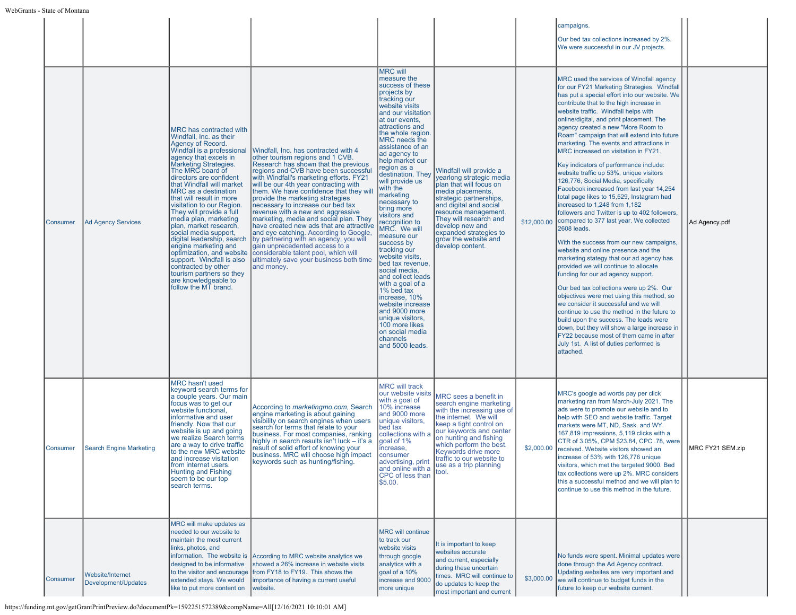|                 |                                         |                                                                                                                                                                                                                                                                                                                                                                                                                                                                                                                                                                                                                   |                                                                                                                                                                                                                                                                                                                                                                                                                                                                                                                                                                                                                                                                                                                                               |                                                                                                                                                                                                                                                                                                                                                                                                                                                                                                                                                                                                                                                                                                                                       |                                                                                                                                                                                                                                                                                                     |             | campaigns.<br>Our bed tax collections increased by 2%.<br>We were successful in our JV projects.                                                                                                                                                                                                                                                                                                                                                                                                                                                                                                                                                                                                                                                                                                                                                                                                                                                                                                                                                                                                                                                                                                                                                                                                                                                                                                             |                  |
|-----------------|-----------------------------------------|-------------------------------------------------------------------------------------------------------------------------------------------------------------------------------------------------------------------------------------------------------------------------------------------------------------------------------------------------------------------------------------------------------------------------------------------------------------------------------------------------------------------------------------------------------------------------------------------------------------------|-----------------------------------------------------------------------------------------------------------------------------------------------------------------------------------------------------------------------------------------------------------------------------------------------------------------------------------------------------------------------------------------------------------------------------------------------------------------------------------------------------------------------------------------------------------------------------------------------------------------------------------------------------------------------------------------------------------------------------------------------|---------------------------------------------------------------------------------------------------------------------------------------------------------------------------------------------------------------------------------------------------------------------------------------------------------------------------------------------------------------------------------------------------------------------------------------------------------------------------------------------------------------------------------------------------------------------------------------------------------------------------------------------------------------------------------------------------------------------------------------|-----------------------------------------------------------------------------------------------------------------------------------------------------------------------------------------------------------------------------------------------------------------------------------------------------|-------------|--------------------------------------------------------------------------------------------------------------------------------------------------------------------------------------------------------------------------------------------------------------------------------------------------------------------------------------------------------------------------------------------------------------------------------------------------------------------------------------------------------------------------------------------------------------------------------------------------------------------------------------------------------------------------------------------------------------------------------------------------------------------------------------------------------------------------------------------------------------------------------------------------------------------------------------------------------------------------------------------------------------------------------------------------------------------------------------------------------------------------------------------------------------------------------------------------------------------------------------------------------------------------------------------------------------------------------------------------------------------------------------------------------------|------------------|
| Consumer        | <b>Ad Agency Services</b>               | MRC has contracted with<br>Windfall, Inc. as their<br>Agency of Record.<br>agency that excels in<br>Marketing Strategies.<br>The MRC board of<br>directors are confident<br>that Windfall will market<br>MRC as a destination<br>that will result in more<br>visitation to our Region.<br>They will provide a full<br>media plan, marketing<br>plan, market research,<br>social media support,<br>digital leadership, search<br>engine marketing and<br>optimization, and website<br>support. Windfall is also<br>contracted by other<br>tourism partners so they<br>are knowledgeable to<br>follow the MT brand. | Windfall is a professional Windfall, Inc. has contracted with 4<br>other tourism regions and 1 CVB.<br>Research has shown that the previous<br>regions and CVB have been successful<br>with Windfall's marketing efforts. FY21<br>will be our 4th year contracting with<br>them. We have confidence that they will<br>provide the marketing strategies<br>necessary to increase our bed tax<br>revenue with a new and aggressive<br>marketing, media and social plan. They<br>have created new ads that are attractive<br>and eye catching. According to Google,<br>by partnering with an agency, you will<br>gain unprecedented access to a<br>considerable talent pool, which will<br>ultimately save your business both time<br>and money. | <b>MRC will</b><br>measure the<br>success of these<br>projects by<br>tracking our<br>website visits<br>and our visitation<br>at our events,<br>attractions and<br>the whole region.<br>MRC needs the<br>assistance of an<br>ad agency to<br>help market our<br>region as a<br>destination. They<br>will provide us<br>with the<br>narketing<br>necessary to<br>bring more<br>visitors and<br>recognition to<br>MRC. We will<br>measure our<br>success by<br>tracking our<br>website visits,<br>bed tax revenue,<br>social media,<br>and collect leads<br>with a goal of a<br>1% bed tax<br>increase, 10%<br>website increase<br>and 9000 more<br>unique visitors,<br>100 more likes<br>on social media<br>channels<br>and 5000 leads. | Windfall will provide a<br>yearlong strategic media<br>plan that will focus on<br>media placements,<br>strategic partnerships,<br>and digital and social<br>resource management.<br>They will research and<br>develop new and<br>expanded strategies to<br>grow the website and<br>develop content. | \$12,000.00 | MRC used the services of Windfall agency<br>for our FY21 Marketing Strategies. Windfall<br>has put a special effort into our website. We<br>contribute that to the high increase in<br>website traffic. Windfall helps with<br>online/digital, and print placement. The<br>agency created a new "More Room to<br>Roam" campaign that will extend into future<br>marketing. The events and attractions in<br>MRC increased on visitation in FY21.<br>Key indicators of performance include:<br>website traffic up 53%, unique visitors<br>126,776, Social Media, specifically<br>Facebook increased from last year 14,254<br>total page likes to 15,529, Instagram had<br>increased to 1,248 from 1,182<br>followers and Twitter is up to 402 followers,<br>compared to 377 last year. We collected<br>2608 leads.<br>With the success from our new campaigns,<br>website and online presence and the<br>marketing stategy that our ad agency has<br>provided we will continue to allocate<br>funding for our ad agency support.<br>Our bed tax collections were up 2%. Our<br>objectives were met using this method, so<br>we consider it successful and we will<br>continue to use the method in the future to<br>build upon the success. The leads were<br>down, but they will show a large increase in<br>FY22 because most of them came in after<br>July 1st. A list of duties performed is<br>attached. | Ad Agency.pdf    |
| Consumer        | <b>Search Engine Marketing</b>          | <b>MRC</b> hasn't used<br>keyword search terms for<br>a couple years. Our main<br>focus was to get our<br>website functional,<br>informative and user<br>friendly. Now that our<br>website is up and going<br>we realize Search terms<br>are a way to drive traffic<br>to the new MRC website<br>and increase visitation<br>from internet users.<br><b>Hunting and Fishing</b><br>seem to be our top<br>search terms.                                                                                                                                                                                             | According to marketingmo.com, Search<br>engine marketing is about gaining<br>visibility on search engines when users<br>search for terms that relate to your<br>business. For most companies, ranking<br>highly in search results isn't luck - it's a<br>result of solid effort of knowing your<br>business. MRC will choose high impact<br>keywords such as hunting/fishing.                                                                                                                                                                                                                                                                                                                                                                 | <b>MRC will track</b><br>our website visits<br>with a goal of<br>10% increase<br>and 9000 more<br>unique visitors,<br>bed tax<br>collections with<br>goal of 1%<br>ncrease,<br>consumer<br>advertising, print<br>and online with a $\left  \begin{array}{c} 1 & 0 \\ 1 & 0 \end{array} \right $<br>CPC of less than<br>\$5.00.                                                                                                                                                                                                                                                                                                                                                                                                        | MRC sees a benefit in<br>search engine marketing<br>with the increasing use of<br>the internet. We will<br>keep a tight control on<br>our keywords and center<br>on hunting and fishing<br>which perform the best.<br>Keywords drive more<br>traffic to our website to<br>use as a trip planning    | \$2,000.00  | MRC's google ad words pay per click<br>marketing ran from March-July 2021. The<br>ads were to promote our website and to<br>help with SEO and website traffic. Target<br>markets were MT, ND, Sask. and WY.<br>167,819 impressions, 5,119 clicks with a<br>CTR of 3.05%, CPM \$23.84, CPC .78, were<br>received. Website visitors showed an<br>increase of 53% with 126,776 unique<br>visitors, which met the targeted 9000. Bed<br>tax collections were up 2%. MRC considers<br>this a successful method and we will plan to<br>continue to use this method in the future.                                                                                                                                                                                                                                                                                                                                                                                                                                                                                                                                                                                                                                                                                                                                                                                                                                  | MRC FY21 SEM.zip |
| <b>Consumer</b> | Website/Internet<br>Development/Updates | MRC will make updates as<br>needed to our website to<br>maintain the most current<br>links, photos, and<br>information. The website is<br>designed to be informative<br>to the visitor and encourage<br>extended stays. We would<br>like to put more content on                                                                                                                                                                                                                                                                                                                                                   | According to MRC website analytics we<br>showed a 26% increase in website visits<br>from FY18 to FY19. This shows the<br>importance of having a current useful<br>website.                                                                                                                                                                                                                                                                                                                                                                                                                                                                                                                                                                    | <b>MRC will continue</b><br>to track our<br>website visits<br>through google<br>analytics with a<br>goal of a 10%<br>ncrease and 9000<br>nore unique                                                                                                                                                                                                                                                                                                                                                                                                                                                                                                                                                                                  | It is important to keep<br>websites accurate<br>and current, especially<br>during these uncertain<br>times. MRC will continue to<br>do updates to keep the<br>most important and current                                                                                                            | \$3,000.00  | No funds were spent. Minimal updates were<br>done through the Ad Agency contract.<br>Updating websites are very important and<br>we will continue to budget funds in the<br>future to keep our website current.                                                                                                                                                                                                                                                                                                                                                                                                                                                                                                                                                                                                                                                                                                                                                                                                                                                                                                                                                                                                                                                                                                                                                                                              |                  |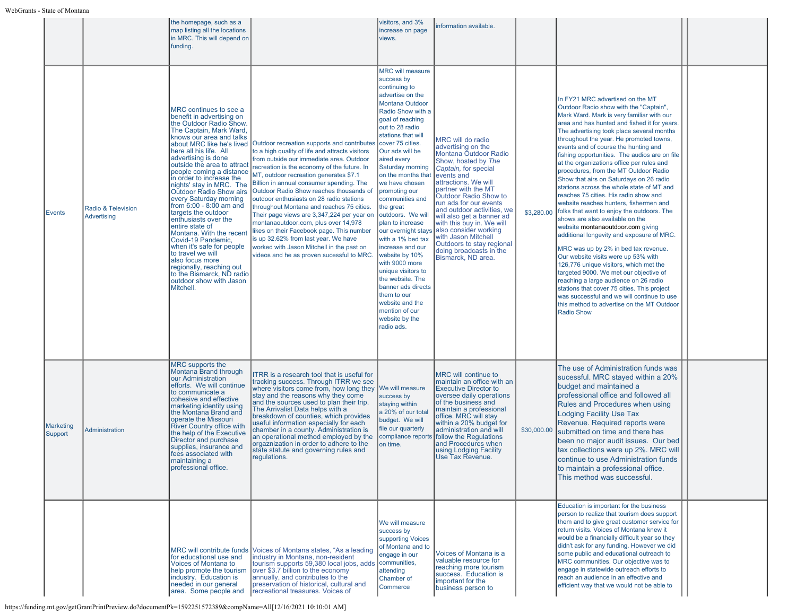|                      |                                   | the homepage, such as a<br>map listing all the locations<br>in MRC. This will depend on<br>funding.                                                                                                                                                                                                                                                                                                                                                                                                                                                                                                                                                                                                              |                                                                                                                                                                                                                                                                                                                                                                                                                                                                                                                                                                                                                                                                                          | visitors, and 3%<br>increase on page<br>views.                                                                                                                                                                                                                                                                                                                                                                                                                                                                                                                                                                                                             | information available.                                                                                                                                                                                                                                                                                                                                                                                                                                |             |                                                                                                                                                                                                                                                                                                                                                                                                                                                                                                                                                                                                                                                                                                                                                                                                                                                                                                                                                                                                                                                                                                                                                                          |  |
|----------------------|-----------------------------------|------------------------------------------------------------------------------------------------------------------------------------------------------------------------------------------------------------------------------------------------------------------------------------------------------------------------------------------------------------------------------------------------------------------------------------------------------------------------------------------------------------------------------------------------------------------------------------------------------------------------------------------------------------------------------------------------------------------|------------------------------------------------------------------------------------------------------------------------------------------------------------------------------------------------------------------------------------------------------------------------------------------------------------------------------------------------------------------------------------------------------------------------------------------------------------------------------------------------------------------------------------------------------------------------------------------------------------------------------------------------------------------------------------------|------------------------------------------------------------------------------------------------------------------------------------------------------------------------------------------------------------------------------------------------------------------------------------------------------------------------------------------------------------------------------------------------------------------------------------------------------------------------------------------------------------------------------------------------------------------------------------------------------------------------------------------------------------|-------------------------------------------------------------------------------------------------------------------------------------------------------------------------------------------------------------------------------------------------------------------------------------------------------------------------------------------------------------------------------------------------------------------------------------------------------|-------------|--------------------------------------------------------------------------------------------------------------------------------------------------------------------------------------------------------------------------------------------------------------------------------------------------------------------------------------------------------------------------------------------------------------------------------------------------------------------------------------------------------------------------------------------------------------------------------------------------------------------------------------------------------------------------------------------------------------------------------------------------------------------------------------------------------------------------------------------------------------------------------------------------------------------------------------------------------------------------------------------------------------------------------------------------------------------------------------------------------------------------------------------------------------------------|--|
| Events               | Radio & Television<br>Advertising | MRC continues to see a<br>benefit in advertising on<br>the Outdoor Radio Show.<br>The Captain, Mark Ward,<br>knows our area and talks<br>about MRC like he's lived<br>here all his life. All<br>advertising is done<br>outside the area to attract<br>people coming a distance<br>in order to increase the<br>nights' stay in MRC. The<br>Outdoor Radio Show airs<br>every Saturday morning<br>from 6:00 - 8:00 am and<br>targets the outdoor<br>enthusiasts over the<br>entire state of<br>Montana. With the recent<br>Covid-19 Pandemic,<br>when it's safe for people<br>to travel we will<br>also focus more<br>regionally, reaching out<br>to the Bismarck, ND radio<br>outdoor show with Jason<br>Mitchell. | Outdoor recreation supports and contributes<br>to a high quality of life and attracts visitors<br>from outside our immediate area. Outdoor<br>recreation is the economy of the future. In<br>MT, outdoor recreation generates \$7.1<br>Billion in annual consumer spending. The<br>Outdoor Radio Show reaches thousands of<br>outdoor enthusiasts on 28 radio stations<br>throughout Montana and reaches 75 cities.<br>Their page views are 3,347,224 per year on<br>montanaoutdoor.com, plus over 14,978<br>likes on their Facebook page. This number<br>is up 32.62% from last year. We have<br>worked with Jason Mitchell in the past on<br>videos and he as proven sucessful to MRC. | <b>MRC will measure</b><br>success by<br>continuing to<br>advertise on the<br><b>Montana Outdoor</b><br>Radio Show with a<br>goal of reaching<br>out to 28 radio<br>stations that will<br>cover 75 cities.<br>Our ads will be<br>aired every<br>Saturday morning<br>on the months that<br>we have chosen<br>promoting our<br>communities and<br>the great<br>outdoors. We will<br>plan to increase<br>our overnight stays<br>with a 1% bed tax<br>increase and our<br>website by 10%<br>with 9000 more<br>unique visitors to<br>the website. The<br>banner ads directs<br>them to our<br>website and the<br>mention of our<br>website by the<br>radio ads. | MRC will do radio<br>advertising on the<br>Montana Outdoor Radio<br>Show, hosted by The<br>Captain, for special<br>events and<br>attractions. We will<br>partner with the MT<br>Outdoor Radio Show to<br>run ads for our events<br>and outdoor activities, we<br>will also get a banner ad<br>with this buy in. We will<br>also consider working<br>with Jason Mitchell<br>Outdoors to stay regional<br>doing broadcasts in the<br>Bismarck, ND area. | \$3,280.00  | In FY21 MRC advertised on the MT<br>Outdoor Radio show with the "Captain",<br>Mark Ward. Mark is very familiar with our<br>area and has hunted and fished it for years.<br>The advertising took place several months<br>throughout the year. He promoted towns,<br>events and of course the hunting and<br>fishing opportunities. The audios are on file<br>at the organizations office per rules and<br>procedures, from the MT Outdoor Radio<br>Show that airs on Saturdays on 26 radio<br>stations across the whole state of MT and<br>reaches 75 cities. His radio show and<br>website reaches hunters, fishermen and<br>folks that want to enjoy the outdoors. The<br>shows are also available on the<br>website montanaoutdoor.com giving<br>additional longevity and exposure of MRC.<br>MRC was up by 2% in bed tax revenue.<br>Our website visits were up 53% with<br>126,776 unique visitors, which met the<br>targeted 9000. We met our objective of<br>reaching a large audience on 26 radio<br>stations that cover 75 cities. This project<br>was successful and we will continue to use<br>this method to advertise on the MT Outdoor<br><b>Radio Show</b> |  |
| Marketing<br>Support | Administration                    | MRC supports the<br>Montana Brand through<br>our Administration<br>efforts. We will continue<br>to communicate a<br>cohesive and effective<br>marketing identity using<br>the Montana Brand and<br>operate the Missouri<br><b>River Country office with</b><br>the help of the Executive<br>Director and purchase<br>supplies, insurance and<br>fees associated with<br>maintaining a<br>professional office.                                                                                                                                                                                                                                                                                                    | ITRR is a research tool that is useful for<br>tracking success. Through ITRR we see<br>where visitors come from, how long they<br>stay and the reasons why they come<br>and the sources used to plan their trip.<br>The Arrivalist Data helps with a<br>breakdown of counties, which provides<br>useful information especially for each<br>chamber in a county. Administration is<br>an operational method employed by the<br>orgaznization in order to adhere to the<br>state statute and governing rules and<br>regulations.                                                                                                                                                           | We will measure<br>success by<br>staying within<br>a 20% of our total<br>budget. We will<br>file our quarterly<br>compliance reports<br>on time.                                                                                                                                                                                                                                                                                                                                                                                                                                                                                                           | MRC will continue to<br>maintain an office with an<br><b>Executive Director to</b><br>oversee daily operations<br>of the business and<br>maintain a professional<br>office. MRC will stay<br>within a 20% budget for<br>administration and will<br>follow the Regulations<br>and Procedures when<br>using Lodging Facility<br>Use Tax Revenue.                                                                                                        | \$30,000.00 | The use of Administration funds was<br>sucessful. MRC stayed within a 20%<br>budget and maintained a<br>professional office and followed all<br>Rules and Procedures when using<br>Lodging Facility Use Tax<br>Revenue. Required reports were<br>submitted on time and there has<br>been no major audit issues. Our bed<br>tax collections were up 2%. MRC will<br>continue to use Administration funds<br>to maintain a professional office.<br>This method was successful.                                                                                                                                                                                                                                                                                                                                                                                                                                                                                                                                                                                                                                                                                             |  |
|                      |                                   | for educational use and<br>Voices of Montana to<br>help promote the tourism<br>industry. Education is<br>needed in our general<br>area. Some people and                                                                                                                                                                                                                                                                                                                                                                                                                                                                                                                                                          | MRC will contribute funds   Voices of Montana states, "As a leading<br>industry in Montana, non-resident<br>tourism supports 59,380 local jobs, adds<br>over \$3.7 billion to the economy<br>annually, and contributes to the<br>preservation of historical, cultural and<br><u>lrecreational</u> treasures. Voices of                                                                                                                                                                                                                                                                                                                                                                   | We will measure<br>success by<br>supporting Voices<br>of Montana and to<br>engage in our<br>communities,<br>attending<br>Chamber of<br>Commerce                                                                                                                                                                                                                                                                                                                                                                                                                                                                                                            | Voices of Montana is a<br>valuable resource for<br>reaching more tourism<br>success. Education is<br>important for the<br>business person to                                                                                                                                                                                                                                                                                                          |             | Education is important for the business<br>person to realize that tourism does support<br>them and to give great customer service for<br>return visits. Voices of Montana knew it<br>would be a financially difficult year so they<br>didn't ask for any funding. However we did<br>some public and educational outreach to<br>MRC communities. Our objective was to<br>engage in statewide outreach efforts to<br>reach an audience in an effective and<br>efficient way that we would not be able to                                                                                                                                                                                                                                                                                                                                                                                                                                                                                                                                                                                                                                                                   |  |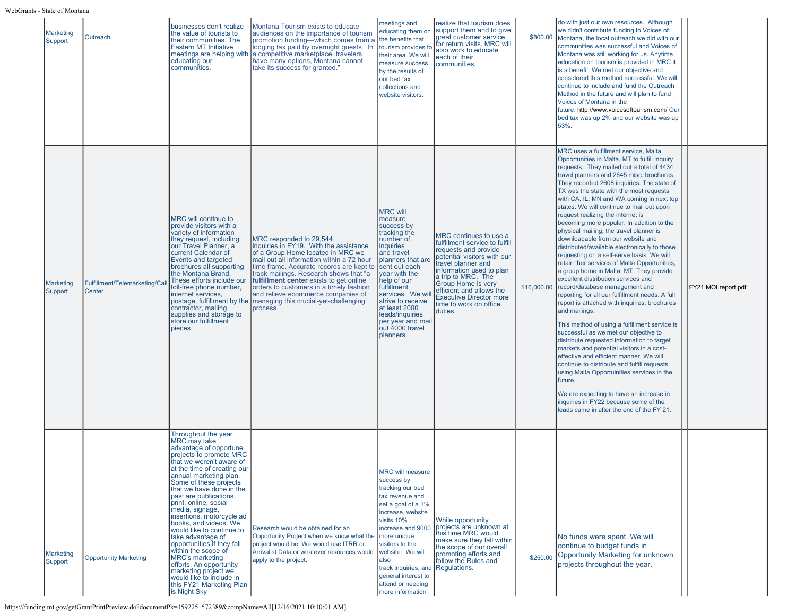| <b>Marketing</b><br>Support | Outreach                                 | businesses don't realize<br>the value of tourists to<br>their communities. The<br><b>Eastern MT Initiative</b><br>educating our<br>communities.                                                                                                                                                                                                                                                                                                                                                                                                                                                                             | Montana Tourism exists to educate<br>audiences on the importance of tourism<br>promotion funding-which comes from a<br>lodging tax paid by overnight guests. In<br>meetings are helping with a competitive marketplace, travelers<br>have many options, Montana cannot<br>take its success for granted."                                                                                                                                               | meetings and<br>educating them on<br>the benefits that<br>tourism provides to<br>their area. We will<br>measure success<br>by the results of<br>our bed tax<br>collections and<br>website visitors.                                                                                                                     | realize that tourism does<br>support them and to give<br>great customer service<br>for return visits. MRC will<br>also work to educate<br>each of their<br>communities.                                                                                                                                          | \$800.00    | do with just our own resources. Although<br>we didn't contribute funding to Voices of<br>Montana, the local outreach we did with our<br>communities was successful and Voices of<br>Montana was still working for us. Anytime<br>education on tourism is provided in MRC it<br>is a benefit. We met our objective and<br>considered this method successful. We will<br>continue to include and fund the Outreach<br>Method in the future and will plan to fund<br>Voices of Montana in the<br>future. http://www.voicesoftourism.com/ Our<br>bed tax was up 2% and our website was up<br>53%.                                                                                                                                                                                                                                                                                                                                                                                                                                                                                                                                                                                                                                                                                                                                                                                                        |                     |
|-----------------------------|------------------------------------------|-----------------------------------------------------------------------------------------------------------------------------------------------------------------------------------------------------------------------------------------------------------------------------------------------------------------------------------------------------------------------------------------------------------------------------------------------------------------------------------------------------------------------------------------------------------------------------------------------------------------------------|--------------------------------------------------------------------------------------------------------------------------------------------------------------------------------------------------------------------------------------------------------------------------------------------------------------------------------------------------------------------------------------------------------------------------------------------------------|-------------------------------------------------------------------------------------------------------------------------------------------------------------------------------------------------------------------------------------------------------------------------------------------------------------------------|------------------------------------------------------------------------------------------------------------------------------------------------------------------------------------------------------------------------------------------------------------------------------------------------------------------|-------------|------------------------------------------------------------------------------------------------------------------------------------------------------------------------------------------------------------------------------------------------------------------------------------------------------------------------------------------------------------------------------------------------------------------------------------------------------------------------------------------------------------------------------------------------------------------------------------------------------------------------------------------------------------------------------------------------------------------------------------------------------------------------------------------------------------------------------------------------------------------------------------------------------------------------------------------------------------------------------------------------------------------------------------------------------------------------------------------------------------------------------------------------------------------------------------------------------------------------------------------------------------------------------------------------------------------------------------------------------------------------------------------------------|---------------------|
| <b>Marketing</b><br>Support | Fulfillment/Telemarketing/Call<br>Center | MRC will continue to<br>provide visitors with a<br>variety of information<br>they request, including<br>our Travel Planner, a<br>current Calendar of<br><b>Events and targeted</b><br>brochures all supporting<br>the Montana Brand.<br>These efforts include our<br>toll-free phone number.<br>internet services,<br>contractor, mailing<br>supplies and storage to<br>store our fulfillment<br>pieces.                                                                                                                                                                                                                    | MRC responded to 29,544<br>inquiries in FY19. With the assistance<br>of a Group Home located in MRC we<br>mail out all information within a 72 hour<br>time frame. Accurate records are kept to<br>track mailings. Research shows that "a<br>fulfillment center exists to get online<br>orders to customers in a timely fashion<br>and relieve ecommerce companies of<br>postage, fulfillment by the managing this crucial-yet-challenging<br>process. | <b>MRC will</b><br>measure<br>success by<br>tracking the<br>number of<br>inquiries<br>and travel<br>planners that are<br>sent out each<br>year with the<br>help of our<br>fulfillment<br>services. We wil<br>strive to receive<br>at least 2000<br>leads/inquiries<br>per year and mail<br>out 4000 travel<br>planners. | MRC continues to use a<br>fulfillment service to fulfill<br>requests and provide<br>potential visitors with our<br>travel planner and<br>information used to plan<br>a trip to MRC. The<br>Group Home is very<br>efficient and allows the<br><b>Executive Director more</b><br>time to work on office<br>duties. | \$16,000.00 | MRC uses a fulfillment service, Malta<br>Opportunities in Malta, MT to fulfill inquiry<br>requests. They mailed out a total of 4434<br>travel planners and 2645 misc. brochures.<br>They recorded 2608 inquiries. The state of<br>TX was the state with the most requests<br>with CA, IL, MN and WA coming in next top<br>states. We will continue to mail out upon<br>request realizing the internet is<br>becoming more popular. In addition to the<br>physical mailing, the travel planner is<br>downloadable from our website and<br>distributed/available electronically to those<br>requesting on a self-serve basis. We will<br>retain ther services of Malta Opportunities,<br>a group home in Malta, MT. They provide<br>excellent distribution services and<br>record/database management and<br>reporting for all our fulfillment needs. A full<br>report is attached with inquiries, brochures<br>and mailings.<br>This method of using a fulfillment service is<br>successful as we met our objective to<br>distribute requested information to target<br>markets and potential visitors in a cost-<br>effective and efficient manner. We will<br>continue to distribute and fulfill requests<br>using Malta Opportuinities services in the<br>future.<br>We are expecting to have an increase in<br>inquiries in FY22 because some of the<br>leads came in after the end of the FY 21. | FY21 MOI report.pdf |
| <b>Marketing</b><br>Support | <b>Opportunity Marketing</b>             | Throughout the year<br>MRC may take<br>advantage of opportune<br>projects to promote MRC<br>that we weren't aware of<br>at the time of creating our<br>annual marketing plan.<br>Some of these projects<br>that we have done in the<br>past are publications,<br>print, online, social<br>media, signage,<br>insertions, motorcycle ad<br>books, and videos. We<br>would like to continue to<br>take advantage of<br>opportunities if they fall<br>within the scope of<br><b>MRC's marketing</b><br>efforts. An opportunity<br>marketing project we<br>would like to include in<br>this FY21 Marketing Plan<br>is Night Sky | Research would be obtained for an<br>Opportunity Project when we know what the<br>project would be. We would use ITRR or<br>Arrivalist Data or whatever resources would<br>apply to the project.                                                                                                                                                                                                                                                       | <b>MRC</b> will measure<br>success by<br>tracking our bed<br>tax revenue and<br>set a goal of a 1%<br>increase, website<br>visits 10%<br>increase and 9000<br>more unique<br>visitors to the<br>website. We will<br>also<br>track inquiries, and<br>general interest to<br>attend or needing<br>more information        | While opportunity<br>projects are unknown at<br>this time MRC would<br>make sure they fall within<br>the scope of our overall<br>promoting efforts and<br>follow the Rules and<br>Regulations.                                                                                                                   | \$250.00    | No funds were spent. We will<br>continue to budget funds in<br>Opportunity Marketing for unknown<br>projects throughout the year.                                                                                                                                                                                                                                                                                                                                                                                                                                                                                                                                                                                                                                                                                                                                                                                                                                                                                                                                                                                                                                                                                                                                                                                                                                                                    |                     |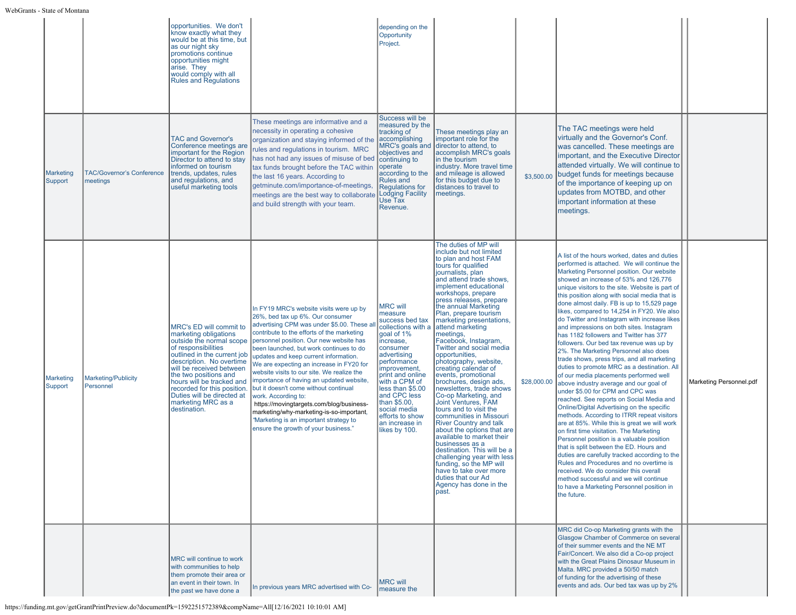|                      |                                              | opportunities. We don't<br>know exactly what they<br>would be at this time, but<br>as our night sky<br>promotions continue<br>opportunities might<br>arise. They<br>would comply with all<br><b>Rules and Regulations</b>                                                                                                                           |                                                                                                                                                                                                                                                                                                                                                                                                                                                                                                                                                                                                                                                                                       | depending on the<br>Opportunity<br>Project.                                                                                                                                                                                                                                                                             |                                                                                                                                                                                                                                                                                                                                                                                                                                                                                                                                                                                                                                                                                                                                                                                                                                                                                                                                           |             |                                                                                                                                                                                                                                                                                                                                                                                                                                                                                                                                                                                                                                                                                                                                                                                                                                                                                                                                                                                                                                                                                                                                                                                                                                                                                                                                                                                                          |                         |
|----------------------|----------------------------------------------|-----------------------------------------------------------------------------------------------------------------------------------------------------------------------------------------------------------------------------------------------------------------------------------------------------------------------------------------------------|---------------------------------------------------------------------------------------------------------------------------------------------------------------------------------------------------------------------------------------------------------------------------------------------------------------------------------------------------------------------------------------------------------------------------------------------------------------------------------------------------------------------------------------------------------------------------------------------------------------------------------------------------------------------------------------|-------------------------------------------------------------------------------------------------------------------------------------------------------------------------------------------------------------------------------------------------------------------------------------------------------------------------|-------------------------------------------------------------------------------------------------------------------------------------------------------------------------------------------------------------------------------------------------------------------------------------------------------------------------------------------------------------------------------------------------------------------------------------------------------------------------------------------------------------------------------------------------------------------------------------------------------------------------------------------------------------------------------------------------------------------------------------------------------------------------------------------------------------------------------------------------------------------------------------------------------------------------------------------|-------------|----------------------------------------------------------------------------------------------------------------------------------------------------------------------------------------------------------------------------------------------------------------------------------------------------------------------------------------------------------------------------------------------------------------------------------------------------------------------------------------------------------------------------------------------------------------------------------------------------------------------------------------------------------------------------------------------------------------------------------------------------------------------------------------------------------------------------------------------------------------------------------------------------------------------------------------------------------------------------------------------------------------------------------------------------------------------------------------------------------------------------------------------------------------------------------------------------------------------------------------------------------------------------------------------------------------------------------------------------------------------------------------------------------|-------------------------|
| Marketing<br>Support | <b>TAC/Governor's Conference</b><br>meetings | <b>TAC and Governor's</b><br>Conference meetings are<br>important for the Region<br>Director to attend to stav<br>informed on tourism<br>trends, updates, rules<br>and regulations, and<br>useful marketing tools                                                                                                                                   | These meetings are informative and a<br>necessity in operating a cohesive<br>organization and staying informed of the<br>rules and regulations in tourism. MRC<br>has not had any issues of misuse of bed<br>tax funds brought before the TAC within<br>the last 16 years. According to<br>getminute.com/importance-of-meetings,<br>meetings are the best way to collaborate<br>and build strength with your team.                                                                                                                                                                                                                                                                    | Success will be<br>measured by the<br>tracking of<br>accomplishing<br>MRC's goals and<br>objectives and<br>continuing to<br>operate<br>according to the<br><b>Rules and</b><br><b>Requlations for</b><br>Lodging Facility<br>Use Tax<br>Revenue.                                                                        | These meetings play an<br>important role for the<br>director to attend, to<br>accomplish MRC's goals<br>in the tourism<br>industry. More travel time<br>and mileage is allowed<br>for this budget due to<br>distances to travel to<br>meetings.                                                                                                                                                                                                                                                                                                                                                                                                                                                                                                                                                                                                                                                                                           | \$3,500.00  | The TAC meetings were held<br>virtually and the Governor's Conf.<br>was cancelled. These meetings are<br>important, and the Executive Director<br>attended virtually. We will continue to<br>budget funds for meetings because<br>of the importance of keeping up on<br>updates from MOTBD, and other<br>important information at these<br>meetings.                                                                                                                                                                                                                                                                                                                                                                                                                                                                                                                                                                                                                                                                                                                                                                                                                                                                                                                                                                                                                                                     |                         |
| Marketing<br>Support | <b>Marketing/Publicity</b><br>Personnel      | MRC's ED will commit to<br>marketing obligations<br>outside the normal scope<br>of responsibilities<br>outlined in the current job<br>description. No overtime<br>will be received between<br>the two positions and<br>hours will be tracked and<br>recorded for this position.<br>Duties will be directed at<br>marketing MRC as a<br>destination. | In FY19 MRC's website visits were up by<br>26%, bed tax up 6%. Our consumer<br>advertising CPM was under \$5.00. These a<br>contribute to the efforts of the marketing<br>personnel position. Our new website has<br>been launched, but work continues to do<br>updates and keep current information.<br>We are expecting an increase in FY20 for<br>website visits to our site. We realize the<br>importance of having an updated website,<br>but it doesn't come without continual<br>work. According to:<br>https://movingtargets.com/blog/business-<br>marketing/why-marketing-is-so-important,<br>"Marketing is an important strategy to<br>ensure the growth of your business." | <b>MRC will</b><br>measure<br>success bed tax<br>collections with a<br>goal of 1%<br>increase,<br>consumer<br>advertising<br>performance<br>improvement,<br>print and online<br>with a CPM of<br>less than \$5.00<br>and CPC less<br>than \$5.00,<br>social media<br>efforts to show<br>an increase in<br>likes by 100. | The duties of MP will<br>include but not limited<br>to plan and host FAM<br>tours for qualified<br>journalists, plan<br>and attend trade shows,<br>implement educational<br>workshops, prepare<br>press releases, prepare<br>the annual Marketing<br>Plan, prepare tourism<br>marketing presentations,<br>attend marketing<br>meetings,<br>Facebook, Instagram,<br>Twitter and social media<br>opportunities,<br>photography, website,<br>creating calendar of<br>events, promotional<br>brochures, design ads,<br>newsletters, trade shows<br>Co-op Marketing, and<br>Joint Ventures, FAM<br>tours and to visit the<br>communities in Missouri<br><b>River Country and talk</b><br>about the options that are<br>available to market their<br>businesses as a<br>destination. This will be a<br>challenging year with less<br>funding, so the MP will<br>have to take over more<br>duties that our Ad<br>Agency has done in the<br>past. | \$28,000.00 | A list of the hours worked, dates and duties<br>performed is attached. We will continue the<br>Marketing Personnel position. Our website<br>showed an increase of 53% and 126,776<br>unique visitors to the site. Website is part of<br>this position along with social media that is<br>done almost daily. FB is up to 15,529 page<br>likes, compared to 14,254 in FY20. We also<br>do Twitter and Instagram with increase likes<br>and impressions on both sites. Instagram<br>has 1182 followers and Twitter has 377<br>followers. Our bed tax revenue was up by<br>2%. The Marketing Personnel also does<br>trade shows, press trips, and all marketing<br>duties to promote MRC as a destination. All<br>of our media placements performed well<br>above industry average and our goal of<br>under \$5.00 for CPM and CPC was<br>reached. See reports on Social Media and<br>Online/Digital Advertising on the specific<br>methods. According to ITRR repeat visitors<br>are at 85%. While this is great we will work<br>on first time visitation. The Marketing<br>Personnel position is a valuable position<br>that is split between the ED. Hours and<br>duties are carefully tracked according to the<br>Rules and Procedures and no overtime is<br>received. We do consider this overall<br>method successful and we will continue<br>to have a Marketing Personnel position in<br>the future. | Marketing Personnel.pdf |
|                      |                                              | MRC will continue to work<br>with communities to help<br>them promote their area or<br>an event in their town. In<br>the past we have done a                                                                                                                                                                                                        | In previous years MRC advertised with Co-                                                                                                                                                                                                                                                                                                                                                                                                                                                                                                                                                                                                                                             | <b>MRC will</b><br>measure the                                                                                                                                                                                                                                                                                          |                                                                                                                                                                                                                                                                                                                                                                                                                                                                                                                                                                                                                                                                                                                                                                                                                                                                                                                                           |             | MRC did Co-op Marketing grants with the<br>Glasgow Chamber of Commerce on several<br>of their summer events and the NE MT<br>Fair/Concert. We also did a Co-op project<br>with the Great Plains Dinosaur Museum in<br>Malta. MRC provided a 50/50 match<br>of funding for the advertising of these<br>events and ads. Our bed tax was up by 2%                                                                                                                                                                                                                                                                                                                                                                                                                                                                                                                                                                                                                                                                                                                                                                                                                                                                                                                                                                                                                                                           |                         |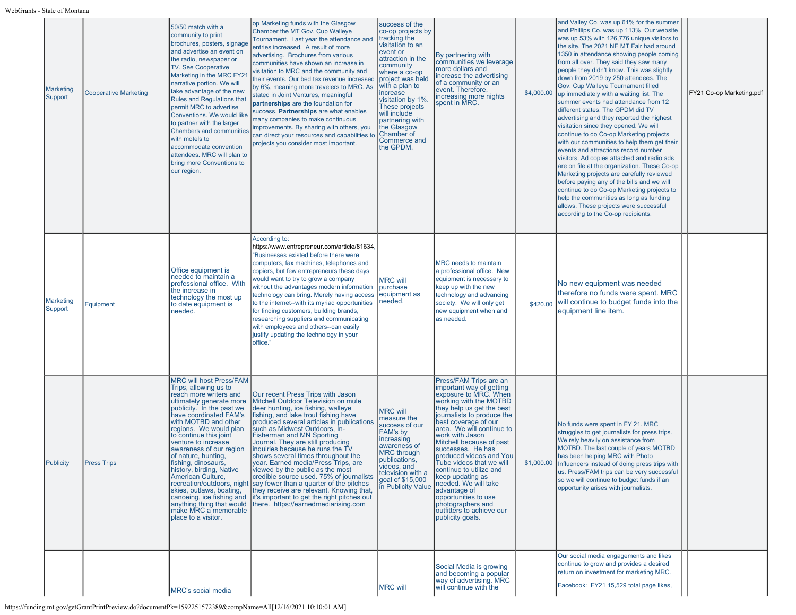| <b>Marketing</b><br>Support | <b>Cooperative Marketing</b> | 50/50 match with a<br>community to print<br>brochures, posters, signage<br>and advertise an event on<br>the radio, newspaper or<br>TV. See Cooperative<br>Marketing in the MRC FY21<br>narrative portion. We will<br>take advantage of the new<br><b>Rules and Regulations that</b><br>permit MRC to advertise<br>Conventions. We would like<br>to partner with the larger<br><b>Chambers and communities</b><br>with motels to<br>accommodate convention<br>attendees. MRC will plan to<br>bring more Conventions to<br>our region.                                  | op Marketing funds with the Glasgow<br>Chamber the MT Gov. Cup Walleye<br>Tournament. Last year the attendance and<br>entries increased. A result of more<br>advertising. Brochures from various<br>communities have shown an increase in<br>visitation to MRC and the community and<br>their events. Our bed tax revenue increased<br>by 6%, meaning more travelers to MRC. As<br>stated in Joint Ventures, meaningful<br>partnerships are the foundation for<br>success. Partnerships are what enables<br>many companies to make continuous<br>improvements. By sharing with others, you<br>can direct your resources and capabilities to<br>projects you consider most important.         | success of the<br>co-op projects by<br>tracking the<br>visitation to an<br>event or<br>attraction in the<br>community<br>where a co-op<br>project was held<br>with a plan to<br>increase<br>visitation by 1%.<br>These projects<br>will include<br>partnering with<br>the Glasgow<br>Chamber of<br><b>Commerce and</b><br>the GPDM. | By partnering with<br>communities we leverage<br>more dollars and<br>increase the advertising<br>of a community or an<br>event. Therefore,<br>increasing more nights<br>spent in MRC.                                                                                                                                                                                                                                                                                                                                                 | \$4,000.00 | and Valley Co. was up 61% for the summer<br>and Phillips Co. was up 113%. Our website<br>was up 53% with 126,776 unique visitors to<br>the site. The 2021 NE MT Fair had around<br>1350 in attendance showing people coming<br>from all over. They said they saw many<br>people they didn't know. This was slightly<br>down from 2019 by 250 attendees. The<br>Gov. Cup Walleye Tournament filled<br>up immediately with a waiting list. The<br>summer events had attendance from 12<br>different states. The GPDM did TV<br>advertising and they reported the highest<br>visitation since they opened. We will<br>continue to do Co-op Marketing projects<br>with our communities to help them get their<br>events and attractions record number<br>visitors. Ad copies attached and radio ads<br>are on file at the organization. These Co-op<br>Marketing projects are carefully reviewed<br>before paying any of the bills and we will<br>continue to do Co-op Marketing projects to<br>help the communities as long as funding<br>allows. These projects were successful<br>according to the Co-op recipients. | FY21 Co-op Marketing.pdf |
|-----------------------------|------------------------------|-----------------------------------------------------------------------------------------------------------------------------------------------------------------------------------------------------------------------------------------------------------------------------------------------------------------------------------------------------------------------------------------------------------------------------------------------------------------------------------------------------------------------------------------------------------------------|----------------------------------------------------------------------------------------------------------------------------------------------------------------------------------------------------------------------------------------------------------------------------------------------------------------------------------------------------------------------------------------------------------------------------------------------------------------------------------------------------------------------------------------------------------------------------------------------------------------------------------------------------------------------------------------------|-------------------------------------------------------------------------------------------------------------------------------------------------------------------------------------------------------------------------------------------------------------------------------------------------------------------------------------|---------------------------------------------------------------------------------------------------------------------------------------------------------------------------------------------------------------------------------------------------------------------------------------------------------------------------------------------------------------------------------------------------------------------------------------------------------------------------------------------------------------------------------------|------------|---------------------------------------------------------------------------------------------------------------------------------------------------------------------------------------------------------------------------------------------------------------------------------------------------------------------------------------------------------------------------------------------------------------------------------------------------------------------------------------------------------------------------------------------------------------------------------------------------------------------------------------------------------------------------------------------------------------------------------------------------------------------------------------------------------------------------------------------------------------------------------------------------------------------------------------------------------------------------------------------------------------------------------------------------------------------------------------------------------------------|--------------------------|
| <b>Marketing</b><br>Support | Equipment                    | Office equipment is<br>needed to maintain a<br>professional office. With<br>the increase in<br>technology the most up<br>to date equipment is<br>needed.                                                                                                                                                                                                                                                                                                                                                                                                              | According to:<br>https://www.entrepreneur.com/article/81634,<br>"Businesses existed before there were<br>computers, fax machines, telephones and<br>copiers, but few entrepreneurs these days<br>would want to try to grow a company<br>without the advantages modern information<br>technology can bring. Merely having access<br>to the internet--with its myriad opportunities<br>for finding customers, building brands,<br>researching suppliers and communicating<br>with employees and others--can easily<br>justify updating the technology in your<br>office."                                                                                                                      | <b>MRC will</b><br>purchase<br>equipment as<br>needed.                                                                                                                                                                                                                                                                              | MRC needs to maintain<br>a professional office. New<br>equipment is necessary to<br>keep up with the new<br>technology and advancing<br>society. We will only get<br>new equipment when and<br>as needed.                                                                                                                                                                                                                                                                                                                             |            | No new equipment was needed<br>therefore no funds were spent. MRC<br>\$420.00 will continue to budget funds into the<br>equipment line item.                                                                                                                                                                                                                                                                                                                                                                                                                                                                                                                                                                                                                                                                                                                                                                                                                                                                                                                                                                        |                          |
| Publicity                   | <b>Press Trips</b>           | <b>MRC will host Press/FAM</b><br>Trips, allowing us to<br>reach more writers and<br>ultimately generate more<br>publicity. In the past we<br>have coordinated FAM's<br>with MOTBD and other<br>regions. We would plan<br>to continue this joint<br>venture to increase<br>awareness of our region<br>of nature, hunting,<br>fishing. dinosaurs.<br>history, birding, Native<br>American Culture.<br>recreation/outdoors, night<br>skies, outlaws, boating,<br>canoeing, ice fishing and<br>anything thing that would<br>make MRC a memorable<br>Iplace to a visitor. | Our recent Press Trips with Jason<br>Mitchell Outdoor Television on mule<br>deer hunting, ice fishing, walleye<br>fishing, and lake trout fishing have<br>produced several articles in publications<br>such as Midwest Outdoors, In-<br><b>Fisherman and MN Sporting</b><br>Journal. They are still producing<br>inquiries because he runs the TV<br>shows several times throughout the<br>vear, Earned media/Press Trips, are<br>viewed by the public as the most<br>credible source used. 75% of journalists<br>say fewer than a quarter of the pitches<br>they receive are relevant. Knowing that,<br>it's important to get the right pitches out<br>there. https://earnedmediarising.com | <b>MRC will</b><br>measure the<br>success of our<br>FAM's by<br>increasing<br>awareness of<br><b>MRC</b> through<br>publications,<br>videos, and<br>television with a<br>goal of \$15,000<br>in Publicity Value                                                                                                                     | Press/FAM Trips are an<br>important way of getting<br>exposure to MRC. When<br>working with the MOTBD<br>they help us get the best<br>journalists to produce the<br>best coverage of our<br>area. We will continue to<br>work with Jason<br>Mitchell because of past<br>successes. He has<br>produced videos and You<br>Tube videos that we will<br>continue to utilize and<br>keep updating as<br>needed. We will take<br>advantage of<br>opportunities to use<br>photographers and<br>outfitters to achieve our<br>publicity goals. |            | No funds were spent in FY 21. MRC<br>struggles to get journalists for press trips.<br>We rely heavily on assistance from<br>MOTBD. The last couple of years MOTBD<br>has been helping MRC with Photo<br>\$1,000.00 Influencers instead of doing press trips with<br>us. Press/FAM trips can be very successful<br>so we will continue to budget funds if an<br>opportunity arises with journalists.                                                                                                                                                                                                                                                                                                                                                                                                                                                                                                                                                                                                                                                                                                                 |                          |
|                             |                              | <b>MRC's social media</b>                                                                                                                                                                                                                                                                                                                                                                                                                                                                                                                                             |                                                                                                                                                                                                                                                                                                                                                                                                                                                                                                                                                                                                                                                                                              | <b>MRC will</b>                                                                                                                                                                                                                                                                                                                     | Social Media is growing<br>and becoming a popular<br>way of advertising. MRC<br>will continue with the                                                                                                                                                                                                                                                                                                                                                                                                                                |            | Our social media engagements and likes<br>continue to grow and provides a desired<br>return on investment for marketing MRC.<br>Facebook: FY21 15,529 total page likes,                                                                                                                                                                                                                                                                                                                                                                                                                                                                                                                                                                                                                                                                                                                                                                                                                                                                                                                                             |                          |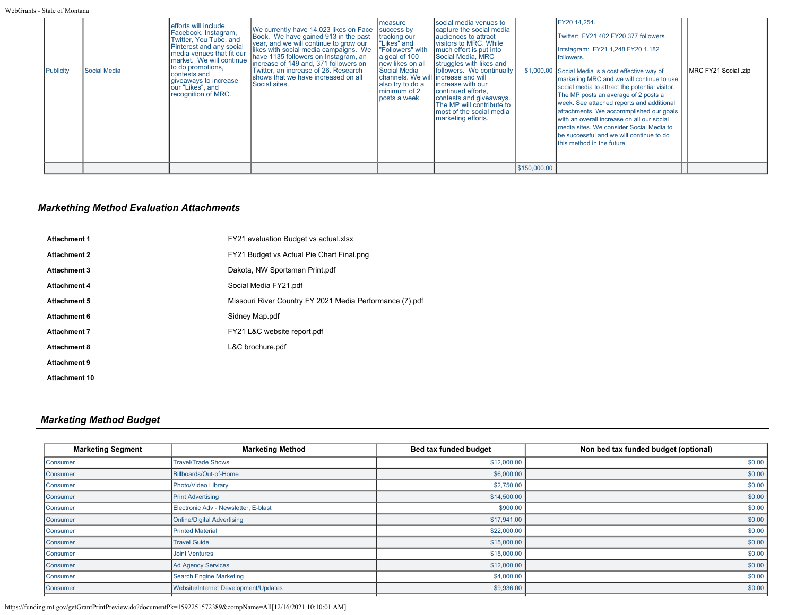| Publicity | Social Media | efforts will include<br>Facebook, Instagram,<br>Twitter, You Tube, and<br>Pinterest and any social<br>I media venues that fit our<br>Imarket. We will continue<br>to do promotions,<br>Icontests and<br>giveaways to increase<br>our "Likes", and<br>recognition of MRC. | We currently have 14,023 likes on Face<br>Book. We have gained 913 in the past<br>vear, and we will continue to grow our<br>likes with social media campaigns. We<br>have 1135 followers on Instagram, an<br>Increase of 149 and, 371 followers on<br>Twitter, an increase of 26. Research<br>Ishows that we have increased on all<br>Social sites. | Imeasure<br>success by<br>tracking our<br>l"Likes" and<br>"Followers" with<br>a goal of 100<br>new likes on all<br>Social Media<br>Ichannels. We will lincrease and will<br>also try to do a<br>minimum of 2<br>posts a week. | Isocial media venues to<br>capture the social media<br>laudiences to attract<br>visitors to MRC. While<br>much effort is put into<br>Social Media, MRC<br>struggles with likes and<br>followers. We continually<br>increase with our<br>continued efforts,<br>contests and giveaways.<br>The MP will contribute to<br>most of the social media<br>marketing efforts. |              | FY20 14.254.<br>Twitter: FY21 402 FY20 377 followers.<br>Intstagram: FY21 1,248 FY20 1,182<br>followers.<br>\$1,000.00 Social Media is a cost effective way of<br>marketing MRC and we will continue to use<br>social media to attract the potential visitor.<br>The MP posts an average of 2 posts a<br>week. See attached reports and additional<br>attachments. We accommplished our goals<br>with an overall increase on all our social<br>Imedia sites. We consider Social Media to<br>be successful and we will continue to do<br>this method in the future. | MRC FY21 Social .zip |
|-----------|--------------|--------------------------------------------------------------------------------------------------------------------------------------------------------------------------------------------------------------------------------------------------------------------------|-----------------------------------------------------------------------------------------------------------------------------------------------------------------------------------------------------------------------------------------------------------------------------------------------------------------------------------------------------|-------------------------------------------------------------------------------------------------------------------------------------------------------------------------------------------------------------------------------|----------------------------------------------------------------------------------------------------------------------------------------------------------------------------------------------------------------------------------------------------------------------------------------------------------------------------------------------------------------------|--------------|--------------------------------------------------------------------------------------------------------------------------------------------------------------------------------------------------------------------------------------------------------------------------------------------------------------------------------------------------------------------------------------------------------------------------------------------------------------------------------------------------------------------------------------------------------------------|----------------------|
|           |              |                                                                                                                                                                                                                                                                          |                                                                                                                                                                                                                                                                                                                                                     |                                                                                                                                                                                                                               |                                                                                                                                                                                                                                                                                                                                                                      | \$150,000.00 |                                                                                                                                                                                                                                                                                                                                                                                                                                                                                                                                                                    |                      |

# *Markething Method Evaluation Attachments*

| <b>Attachment 1</b>  | FY21 eveluation Budget vs actual.xlsx                    |
|----------------------|----------------------------------------------------------|
| <b>Attachment 2</b>  | FY21 Budget vs Actual Pie Chart Final.png                |
| <b>Attachment 3</b>  | Dakota, NW Sportsman Print.pdf                           |
| <b>Attachment 4</b>  | Social Media FY21.pdf                                    |
| <b>Attachment 5</b>  | Missouri River Country FY 2021 Media Performance (7).pdf |
| <b>Attachment 6</b>  | Sidney Map.pdf                                           |
| <b>Attachment 7</b>  | FY21 L&C website report.pdf                              |
| <b>Attachment 8</b>  | L&C brochure.pdf                                         |
| <b>Attachment 9</b>  |                                                          |
| <b>Attachment 10</b> |                                                          |

# *Marketing Method Budget*

| <b>Marketing Segment</b> | <b>Marketing Method</b>              | Bed tax funded budget | Non bed tax funded budget (optional) |
|--------------------------|--------------------------------------|-----------------------|--------------------------------------|
| Consumer                 | <b>Travel/Trade Shows</b>            | \$12,000.00           | \$0.00                               |
| <b>Consumer</b>          | Billboards/Out-of-Home               | \$6,000.00            | \$0.00                               |
| <b>Consumer</b>          | Photo/Video Library                  | \$2,750.00            | \$0.00                               |
| Consumer                 | <b>Print Advertising</b>             | \$14,500.00           | \$0.00                               |
| <b>Consumer</b>          | Electronic Adv - Newsletter, E-blast | \$900.00              | \$0.00                               |
| Consumer                 | <b>Online/Digital Advertising</b>    | \$17,941.00           | \$0.00                               |
| Consumer                 | <b>Printed Material</b>              | \$22,000.00           | \$0.00                               |
| <b>Consumer</b>          | <b>Travel Guide</b>                  | \$15,000.00           | \$0.00                               |
| <b>Consumer</b>          | <b>Joint Ventures</b>                | \$15,000.00           | \$0.00                               |
| <b>Consumer</b>          | Ad Agency Services                   | \$12,000.00           | \$0.00                               |
| Consumer                 | <b>Search Engine Marketing</b>       | \$4,000.00            | \$0.00                               |
| <b>Consumer</b>          | Website/Internet Development/Updates | \$9,936.00            | \$0.00                               |
|                          |                                      |                       |                                      |